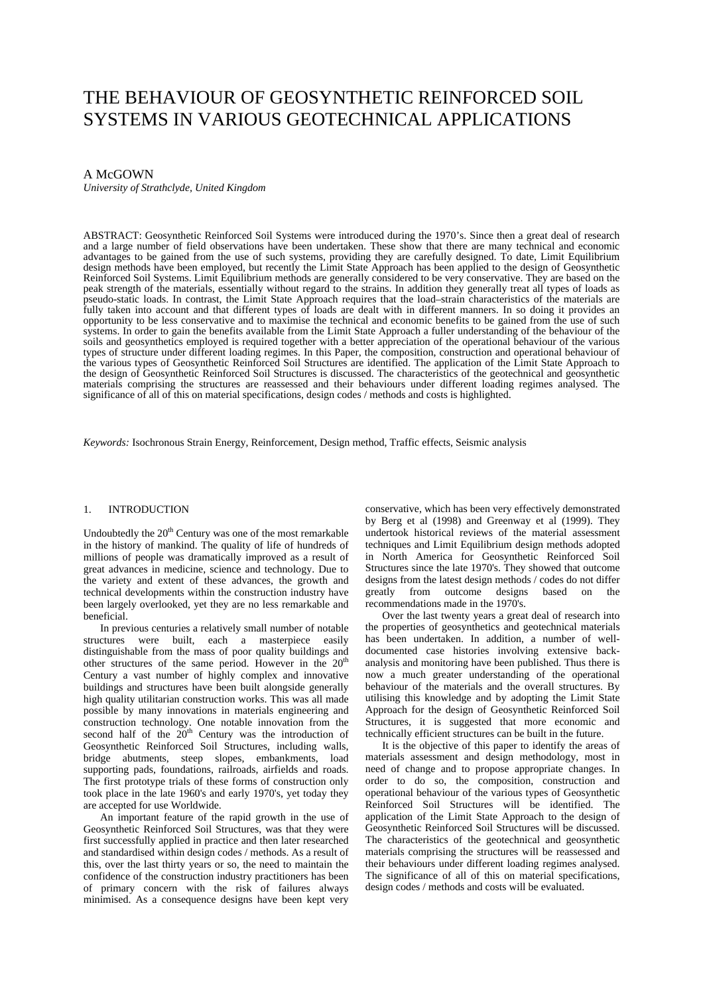# THE BEHAVIOUR OF GEOSYNTHETIC REINFORCED SOIL SYSTEMS IN VARIOUS GEOTECHNICAL APPLICATIONS

# A McGOWN

*University of Strathclyde, United Kingdom* 

ABSTRACT: Geosynthetic Reinforced Soil Systems were introduced during the 1970's. Since then a great deal of research and a large number of field observations have been undertaken. These show that there are many technical and economic advantages to be gained from the use of such systems, providing they are carefully designed. To date, Limit Equilibrium design methods have been employed, but recently the Limit State Approach has been applied to the design of Geosynthetic Reinforced Soil Systems. Limit Equilibrium methods are generally considered to be very conservative. They are based on the peak strength of the materials, essentially without regard to the strains. In addition they general peak strength of the materials, essentially without regard to the strains. In addition they generally treat all types of loads as<br>pseudo-static loads. In contrast, the Limit State Approach requires that the load–strain cha fully taken into account and that different types of loads are dealt with in different manners. In so doing it provides an opportunity to be less conservative and to maximise the technical and economic benefits to be gained from the use of such systems. In order to gain the benefits available from the Limit State Approach a fuller understanding of the behaviour of the soils and geosynthetics employed is required together with a better appreciation of the operational behaviour of the various types of structure under different loading regimes. In this Paper, the composition, construction and operational behaviour of the various types of Geosynthetic Reinforced Soil Structures are identified. The application of the Limit State Approach to the design of Geosynthetic Reinforced Soil Structures is discussed. The characteristics of the geotechnical and geosynthetic materials comprising the structures are reassessed and their behaviours under different loading regimes analysed. The significance of all of this on material specifications, design codes / methods and costs is highlighted.

*Keywords:* Isochronous Strain Energy, Reinforcement, Design method, Traffic effects, Seismic analysis

# 1. INTRODUCTION

Undoubtedly the  $20<sup>th</sup>$  Century was one of the most remarkable in the history of mankind. The quality of life of hundreds of millions of people was dramatically improved as a result of great advances in medicine, science and technology. Due to the variety and extent of these advances, the growth and technical developments within the construction industry have been largely overlooked, yet they are no less remarkable and beneficial.

In previous centuries a relatively small number of notable structures were built, each a masterpiece easily distinguishable from the mass of poor quality buildings and other structures of the same period. However in the  $20<sup>th</sup>$ Century a vast number of highly complex and innovative buildings and structures have been built alongside generally high quality utilitarian construction works. This was all made possible by many innovations in materials engineering and construction technology. One notable innovation from the second half of the  $20<sup>th</sup>$  Century was the introduction of Geosynthetic Reinforced Soil Structures, including walls, bridge abutments, steep slopes, embankments, load supporting pads, foundations, railroads, airfields and roads. The first prototype trials of these forms of construction only took place in the late 1960's and early 1970's, yet today they are accepted for use Worldwide.

An important feature of the rapid growth in the use of Geosynthetic Reinforced Soil Structures, was that they were first successfully applied in practice and then later researched and standardised within design codes / methods. As a result of this, over the last thirty years or so, the need to maintain the confidence of the construction industry practitioners has been of primary concern with the risk of failures always minimised. As a consequence designs have been kept very

conservative, which has been very effectively demonstrated by Berg et al (1998) and Greenway et al (1999). They undertook historical reviews of the material assessment techniques and Limit Equilibrium design methods adopted in North America for Geosynthetic Reinforced Soil Structures since the late 1970's. They showed that outcome designs from the latest design methods / codes do not differ<br>greatly from outcome designs based on the from outcome designs based on the recommendations made in the 1970's.

Over the last twenty years a great deal of research into the properties of geosynthetics and geotechnical materials has been undertaken. In addition, a number of welldocumented case histories involving extensive backanalysis and monitoring have been published. Thus there is now a much greater understanding of the operational behaviour of the materials and the overall structures. By utilising this knowledge and by adopting the Limit State Approach for the design of Geosynthetic Reinforced Soil Structures, it is suggested that more economic and technically efficient structures can be built in the future.

It is the objective of this paper to identify the areas of materials assessment and design methodology, most in need of change and to propose appropriate changes. In order to do so, the composition, construction and operational behaviour of the various types of Geosynthetic Reinforced Soil Structures will be identified. The application of the Limit State Approach to the design of Geosynthetic Reinforced Soil Structures will be discussed. The characteristics of the geotechnical and geosynthetic materials comprising the structures will be reassessed and their behaviours under different loading regimes analysed. The significance of all of this on material specifications, design codes / methods and costs will be evaluated.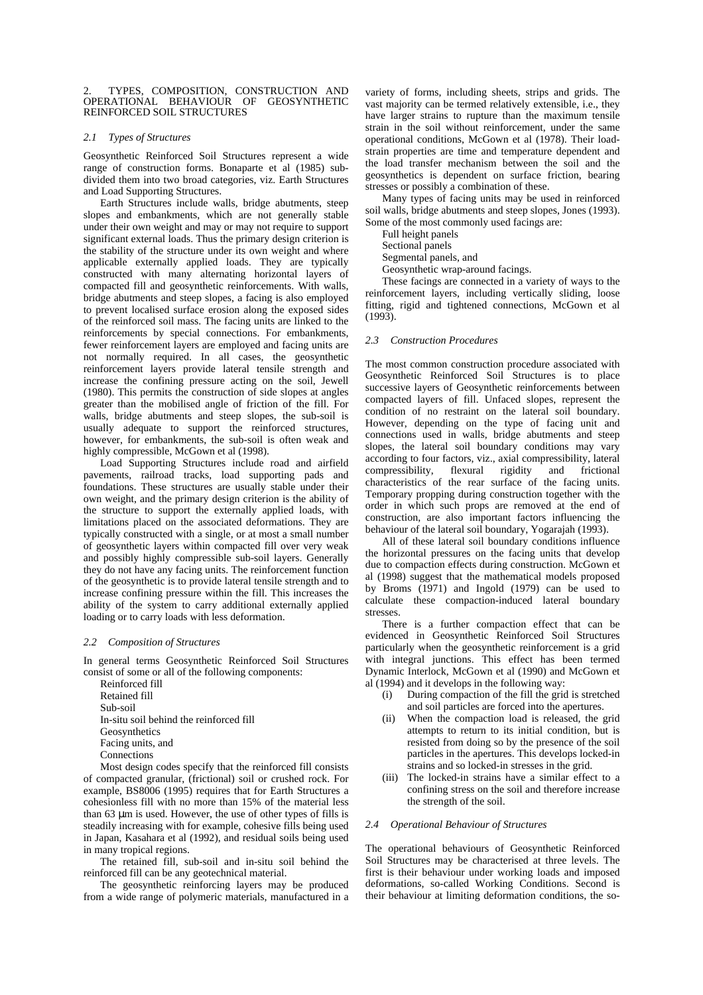TYPES, COMPOSITION, CONSTRUCTION AND OPERATIONAL BEHAVIOUR OF GEOSYNTHETIC REINFORCED SOIL STRUCTURES

## *2.1 Types of Structures*

Geosynthetic Reinforced Soil Structures represent a wide range of construction forms. Bonaparte et al (1985) subdivided them into two broad categories, viz. Earth Structures and Load Supporting Structures.

Earth Structures include walls, bridge abutments, steep slopes and embankments, which are not generally stable under their own weight and may or may not require to support significant external loads. Thus the primary design criterion is the stability of the structure under its own weight and where applicable externally applied loads. They are typically constructed with many alternating horizontal layers of compacted fill and geosynthetic reinforcements. With walls, bridge abutments and steep slopes, a facing is also employed to prevent localised surface erosion along the exposed sides of the reinforced soil mass. The facing units are linked to the reinforcements by special connections. For embankments, fewer reinforcement layers are employed and facing units are not normally required. In all cases, the geosynthetic reinforcement layers provide lateral tensile strength and increase the confining pressure acting on the soil, Jewell (1980). This permits the construction of side slopes at angles greater than the mobilised angle of friction of the fill. For walls, bridge abutments and steep slopes, the sub-soil is usually adequate to support the reinforced structures, however, for embankments, the sub-soil is often weak and highly compressible, McGown et al (1998).

Load Supporting Structures include road and airfield pavements, railroad tracks, load supporting pads and foundations. These structures are usually stable under their own weight, and the primary design criterion is the ability of the structure to support the externally applied loads, with limitations placed on the associated deformations. They are typically constructed with a single, or at most a small number of geosynthetic layers within compacted fill over very weak and possibly highly compressible sub-soil layers. Generally they do not have any facing units. The reinforcement function of the geosynthetic is to provide lateral tensile strength and to increase confining pressure within the fill. This increases the ability of the system to carry additional externally applied loading or to carry loads with less deformation.

#### *2.2 Composition of Structures*

In general terms Geosynthetic Reinforced Soil Structures consist of some or all of the following components:

 Reinforced fill Retained fill Sub-soil In-situ soil behind the reinforced fill Geosynthetics Facing units, and **Connections** 

Most design codes specify that the reinforced fill consists of compacted granular, (frictional) soil or crushed rock. For example, BS8006 (1995) requires that for Earth Structures a cohesionless fill with no more than 15% of the material less than 63 µm is used. However, the use of other types of fills is steadily increasing with for example, cohesive fills being used in Japan, Kasahara et al (1992), and residual soils being used in many tropical regions.

The retained fill, sub-soil and in-situ soil behind the reinforced fill can be any geotechnical material.

The geosynthetic reinforcing layers may be produced from a wide range of polymeric materials, manufactured in a variety of forms, including sheets, strips and grids. The vast majority can be termed relatively extensible, i.e., they have larger strains to rupture than the maximum tensile strain in the soil without reinforcement, under the same operational conditions, McGown et al (1978). Their loadstrain properties are time and temperature dependent and the load transfer mechanism between the soil and the geosynthetics is dependent on surface friction, bearing stresses or possibly a combination of these.

Many types of facing units may be used in reinforced soil walls, bridge abutments and steep slopes, Jones (1993). Some of the most commonly used facings are:

Full height panels

Sectional panels

Segmental panels, and

Geosynthetic wrap-around facings.

These facings are connected in a variety of ways to the reinforcement layers, including vertically sliding, loose fitting, rigid and tightened connections, McGown et al (1993).

#### *2.3 Construction Procedures*

The most common construction procedure associated with Geosynthetic Reinforced Soil Structures is to place successive layers of Geosynthetic reinforcements between compacted layers of fill. Unfaced slopes, represent the condition of no restraint on the lateral soil boundary. However, depending on the type of facing unit and connections used in walls, bridge abutments and steep slopes, the lateral soil boundary conditions may vary according to four factors, viz., axial compressibility, lateral<br>compressibility, flexural rigidity and frictional compressibility, flexural rigidity and frictional characteristics of the rear surface of the facing units. Temporary propping during construction together with the order in which such props are removed at the end of construction, are also important factors influencing the behaviour of the lateral soil boundary, Yogarajah (1993).

All of these lateral soil boundary conditions influence the horizontal pressures on the facing units that develop due to compaction effects during construction. McGown et al (1998) suggest that the mathematical models proposed by Broms (1971) and Ingold (1979) can be used to calculate these compaction-induced lateral boundary stresses.

There is a further compaction effect that can be evidenced in Geosynthetic Reinforced Soil Structures particularly when the geosynthetic reinforcement is a grid with integral junctions. This effect has been termed Dynamic Interlock, McGown et al (1990) and McGown et al (1994) and it develops in the following way:

- (i) During compaction of the fill the grid is stretched and soil particles are forced into the apertures.
- (ii) When the compaction load is released, the grid attempts to return to its initial condition, but is resisted from doing so by the presence of the soil particles in the apertures. This develops locked-in strains and so locked-in stresses in the grid.
- (iii) The locked-in strains have a similar effect to a confining stress on the soil and therefore increase the strength of the soil.

## *2.4 Operational Behaviour of Structures*

The operational behaviours of Geosynthetic Reinforced Soil Structures may be characterised at three levels. The first is their behaviour under working loads and imposed deformations, so-called Working Conditions. Second is their behaviour at limiting deformation conditions, the so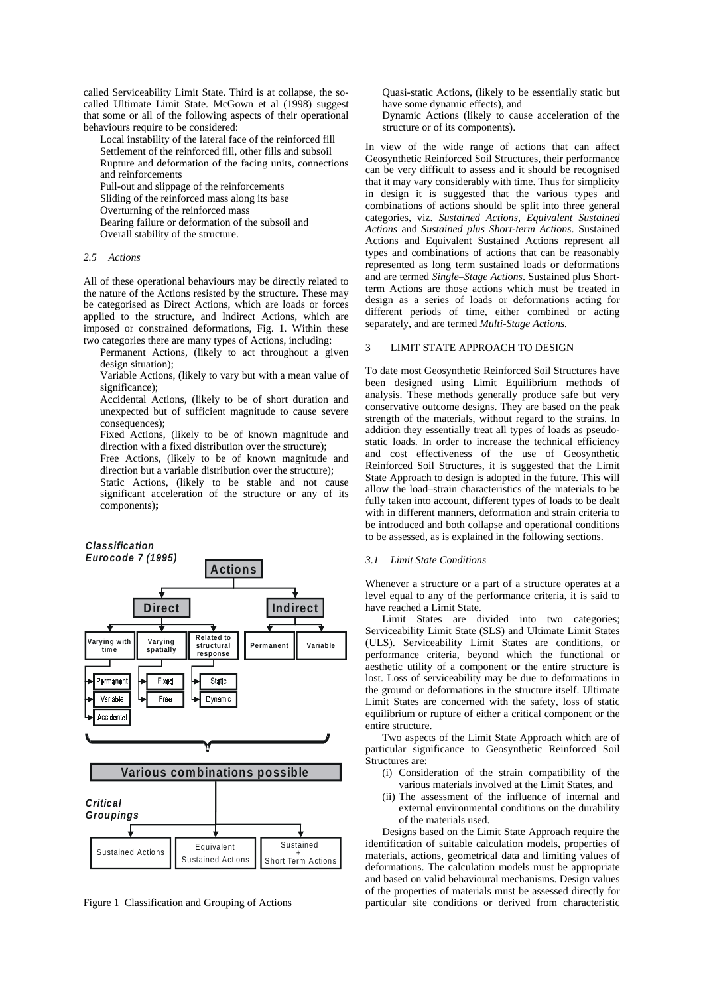called Serviceability Limit State. Third is at collapse, the socalled Ultimate Limit State. McGown et al (1998) suggest that some or all of the following aspects of their operational behaviours require to be considered:

- Local instability of the lateral face of the reinforced fill Settlement of the reinforced fill, other fills and subsoil
- Rupture and deformation of the facing units, connections and reinforcements
- Pull-out and slippage of the reinforcements
- Sliding of the reinforced mass along its base
- Overturning of the reinforced mass
- Bearing failure or deformation of the subsoil and
- Overall stability of the structure.

## *2.5 Actions*

All of these operational behaviours may be directly related to the nature of the Actions resisted by the structure. These may be categorised as Direct Actions, which are loads or forces applied to the structure, and Indirect Actions, which are imposed or constrained deformations, Fig. 1. Within these two categories there are many types of Actions, including:

- Permanent Actions, (likely to act throughout a given design situation);
- Variable Actions, (likely to vary but with a mean value of significance);

Accidental Actions, (likely to be of short duration and unexpected but of sufficient magnitude to cause severe consequences):

Fixed Actions, (likely to be of known magnitude and direction with a fixed distribution over the structure);

Free Actions, (likely to be of known magnitude and direction but a variable distribution over the structure);

Static Actions, (likely to be stable and not cause significant acceleration of the structure or any of its components)**;**



Figure 1 Classification and Grouping of Actions

Quasi-static Actions, (likely to be essentially static but have some dynamic effects), and

Dynamic Actions (likely to cause acceleration of the structure or of its components).

In view of the wide range of actions that can affect Geosynthetic Reinforced Soil Structures, their performance can be very difficult to assess and it should be recognised that it may vary considerably with time. Thus for simplicity in design it is suggested that the various types and combinations of actions should be split into three general categories, viz. *Sustained Actions, Equivalent Sustained Actions* and *Sustained plus Short-term Actions*. Sustained Actions and Equivalent Sustained Actions represent all types and combinations of actions that can be reasonably represented as long term sustained loads or deformations and are termed *Single–Stage Actions*. Sustained plus Shortterm Actions are those actions which must be treated in design as a series of loads or deformations acting for different periods of time, either combined or acting separately, and are termed *Multi-Stage Actions.*

# 3 LIMIT STATE APPROACH TO DESIGN

To date most Geosynthetic Reinforced Soil Structures have been designed using Limit Equilibrium methods of analysis. These methods generally produce safe but very conservative outcome designs. They are based on the peak strength of the materials, without regard to the strains. In addition they essentially treat all types of loads as pseudostatic loads. In order to increase the technical efficiency and cost effectiveness of the use of Geosynthetic Reinforced Soil Structures, it is suggested that the Limit State Approach to design is adopted in the future. This will allow the load–strain characteristics of the materials to be fully taken into account, different types of loads to be dealt with in different manners, deformation and strain criteria to be introduced and both collapse and operational conditions to be assessed, as is explained in the following sections.

# *3.1 Limit State Conditions*

Whenever a structure or a part of a structure operates at a level equal to any of the performance criteria, it is said to have reached a Limit State.

Limit States are divided into two categories; Serviceability Limit State (SLS) and Ultimate Limit States (ULS). Serviceability Limit States are conditions, or performance criteria, beyond which the functional or aesthetic utility of a component or the entire structure is lost. Loss of serviceability may be due to deformations in the ground or deformations in the structure itself. Ultimate Limit States are concerned with the safety, loss of static equilibrium or rupture of either a critical component or the entire structure.

Two aspects of the Limit State Approach which are of particular significance to Geosynthetic Reinforced Soil Structures are:

- (i) Consideration of the strain compatibility of the various materials involved at the Limit States, and
- (ii) The assessment of the influence of internal and external environmental conditions on the durability of the materials used.

Designs based on the Limit State Approach require the identification of suitable calculation models, properties of materials, actions, geometrical data and limiting values of deformations. The calculation models must be appropriate and based on valid behavioural mechanisms. Design values of the properties of materials must be assessed directly for particular site conditions or derived from characteristic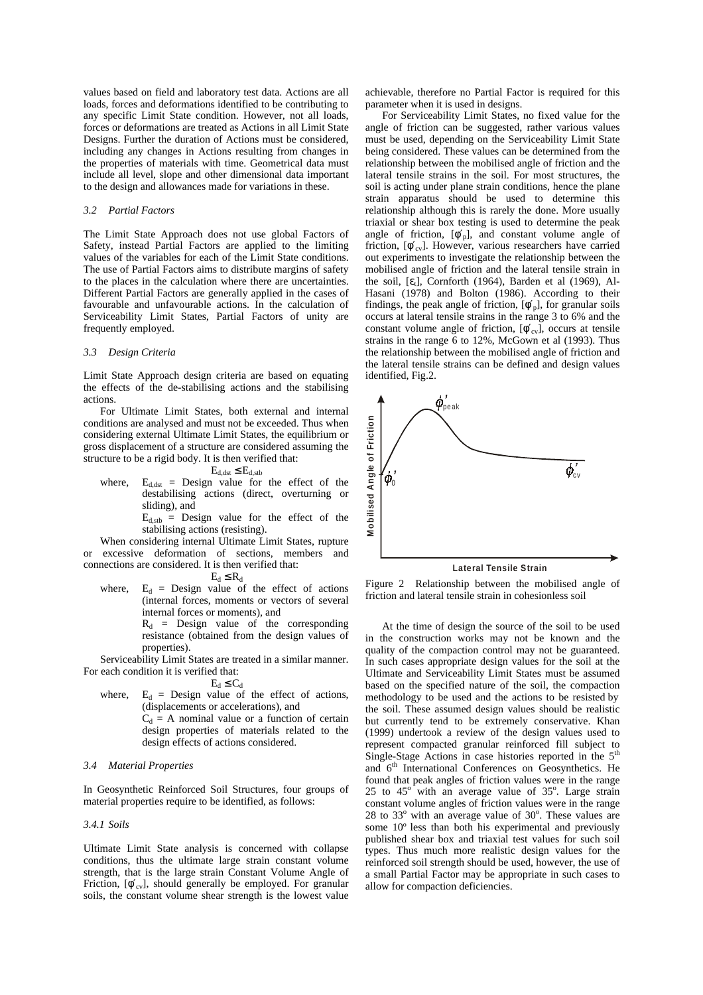values based on field and laboratory test data. Actions are all loads, forces and deformations identified to be contributing to any specific Limit State condition. However, not all loads, forces or deformations are treated as Actions in all Limit State Designs. Further the duration of Actions must be considered, including any changes in Actions resulting from changes in the properties of materials with time. Geometrical data must include all level, slope and other dimensional data important to the design and allowances made for variations in these.

#### *3.2 Partial Factors*

The Limit State Approach does not use global Factors of Safety, instead Partial Factors are applied to the limiting values of the variables for each of the Limit State conditions. The use of Partial Factors aims to distribute margins of safety to the places in the calculation where there are uncertainties. Different Partial Factors are generally applied in the cases of favourable and unfavourable actions. In the calculation of Serviceability Limit States, Partial Factors of unity are frequently employed.

#### *3.3 Design Criteria*

Limit State Approach design criteria are based on equating the effects of the de-stabilising actions and the stabilising actions.

For Ultimate Limit States, both external and internal conditions are analysed and must not be exceeded. Thus when considering external Ultimate Limit States, the equilibrium or gross displacement of a structure are considered assuming the structure to be a rigid body. It is then verified that:

# $E_{d,dst} \leq E_{d,stb}$

where,  $E_{d,dst}$  = Design value for the effect of the destabilising actions (direct, overturning or sliding), and

 $E_{d,stb}$  = Design value for the effect of the stabilising actions (resisting).

When considering internal Ultimate Limit States, rupture or excessive deformation of sections, members and connections are considered. It is then verified that:

 $E_d \le R_d$ 

where,  $E_d$  = Design value of the effect of actions (internal forces, moments or vectors of several internal forces or moments), and

 $R_d$  = Design value of the corresponding resistance (obtained from the design values of properties).

Serviceability Limit States are treated in a similar manner. For each condition it is verified that:

 $E_d \leq C_d$ 

where,  $E_d$  = Design value of the effect of actions, (displacements or accelerations), and  $C_d$  = A nominal value or a function of certain design properties of materials related to the design effects of actions considered.

## *3.4 Material Properties*

In Geosynthetic Reinforced Soil Structures, four groups of material properties require to be identified, as follows:

# *3.4.1 Soils*

Ultimate Limit State analysis is concerned with collapse conditions, thus the ultimate large strain constant volume strength, that is the large strain Constant Volume Angle of Friction,  $[\phi'_{cv}]$ , should generally be employed. For granular soils, the constant volume shear strength is the lowest value

achievable, therefore no Partial Factor is required for this parameter when it is used in designs.

For Serviceability Limit States, no fixed value for the angle of friction can be suggested, rather various values must be used, depending on the Serviceability Limit State being considered. These values can be determined from the relationship between the mobilised angle of friction and the lateral tensile strains in the soil. For most structures, the soil is acting under plane strain conditions, hence the plane strain apparatus should be used to determine this relationship although this is rarely the done. More usually triaxial or shear box testing is used to determine the peak angle of friction,  $[\phi_p']$ , and constant volume angle of friction,  $[\phi'_{\text{cv}}]$ . However, various researchers have carried out experiments to investigate the relationship between the mobilised angle of friction and the lateral tensile strain in the soil,  $[\epsilon_t]$ , Cornforth (1964), Barden et al (1969), Al-Hasani (1978) and Bolton (1986). According to their findings, the peak angle of friction,  $[\phi_p']$ , for granular soils occurs at lateral tensile strains in the range 3 to 6% and the constant volume angle of friction,  $[\phi'_{cv}]$ , occurs at tensile strains in the range 6 to 12%, McGown et al (1993). Thus the relationship between the mobilised angle of friction and the lateral tensile strains can be defined and design values identified, Fig.2.



Figure 2 Relationship between the mobilised angle of friction and lateral tensile strain in cohesionless soil

At the time of design the source of the soil to be used in the construction works may not be known and the quality of the compaction control may not be guaranteed. In such cases appropriate design values for the soil at the Ultimate and Serviceability Limit States must be assumed based on the specified nature of the soil, the compaction methodology to be used and the actions to be resisted by the soil. These assumed design values should be realistic but currently tend to be extremely conservative. Khan (1999) undertook a review of the design values used to represent compacted granular reinforced fill subject to Single-Stage Actions in case histories reported in the  $5<sup>th</sup>$ and 6<sup>th</sup> International Conferences on Geosynthetics. He found that peak angles of friction values were in the range 25 to  $45^\circ$  with an average value of  $35^\circ$ . Large strain constant volume angles of friction values were in the range 28 to  $33^\circ$  with an average value of  $30^\circ$ . These values are some 10º less than both his experimental and previously published shear box and triaxial test values for such soil types. Thus much more realistic design values for the reinforced soil strength should be used, however, the use of a small Partial Factor may be appropriate in such cases to allow for compaction deficiencies.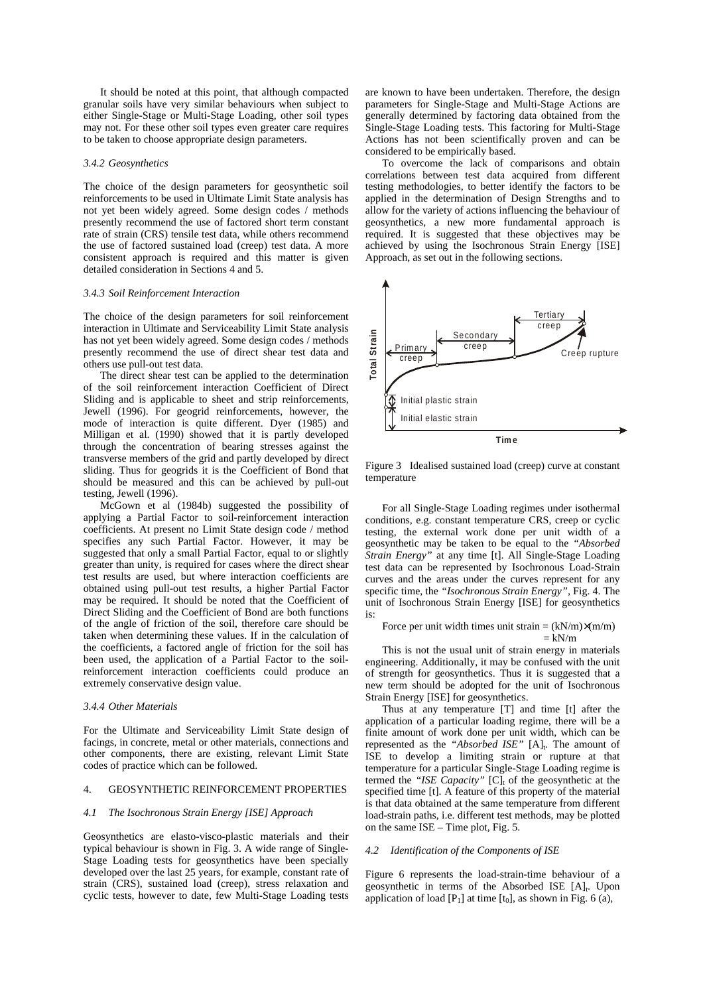It should be noted at this point, that although compacted granular soils have very similar behaviours when subject to either Single-Stage or Multi-Stage Loading, other soil types may not. For these other soil types even greater care requires to be taken to choose appropriate design parameters.

# *3.4.2 Geosynthetics*

The choice of the design parameters for geosynthetic soil reinforcements to be used in Ultimate Limit State analysis has not yet been widely agreed. Some design codes / methods presently recommend the use of factored short term constant rate of strain (CRS) tensile test data, while others recommend the use of factored sustained load (creep) test data. A more consistent approach is required and this matter is given detailed consideration in Sections 4 and 5.

#### *3.4.3 Soil Reinforcement Interaction*

The choice of the design parameters for soil reinforcement interaction in Ultimate and Serviceability Limit State analysis has not yet been widely agreed. Some design codes / methods presently recommend the use of direct shear test data and others use pull-out test data.

The direct shear test can be applied to the determination of the soil reinforcement interaction Coefficient of Direct Sliding and is applicable to sheet and strip reinforcements, Jewell (1996). For geogrid reinforcements, however, the mode of interaction is quite different. Dyer (1985) and Milligan et al. (1990) showed that it is partly developed through the concentration of bearing stresses against the transverse members of the grid and partly developed by direct sliding. Thus for geogrids it is the Coefficient of Bond that should be measured and this can be achieved by pull-out testing, Jewell (1996).

McGown et al (1984b) suggested the possibility of applying a Partial Factor to soil-reinforcement interaction coefficients. At present no Limit State design code / method specifies any such Partial Factor. However, it may be suggested that only a small Partial Factor, equal to or slightly greater than unity, is required for cases where the direct shear test results are used, but where interaction coefficients are obtained using pull-out test results, a higher Partial Factor may be required. It should be noted that the Coefficient of Direct Sliding and the Coefficient of Bond are both functions of the angle of friction of the soil, therefore care should be taken when determining these values. If in the calculation of the coefficients, a factored angle of friction for the soil has been used, the application of a Partial Factor to the soilreinforcement interaction coefficients could produce an extremely conservative design value.

# *3.4.4 Other Materials*

For the Ultimate and Serviceability Limit State design of facings, in concrete, metal or other materials, connections and other components, there are existing, relevant Limit State codes of practice which can be followed.

## 4. GEOSYNTHETIC REINFORCEMENT PROPERTIES

## *4.1 The Isochronous Strain Energy [ISE] Approach*

Geosynthetics are elasto-visco-plastic materials and their typical behaviour is shown in Fig. 3. A wide range of Single-Stage Loading tests for geosynthetics have been specially developed over the last 25 years, for example, constant rate of strain (CRS), sustained load (creep), stress relaxation and cyclic tests, however to date, few Multi-Stage Loading tests

are known to have been undertaken. Therefore, the design parameters for Single-Stage and Multi-Stage Actions are generally determined by factoring data obtained from the Single-Stage Loading tests. This factoring for Multi-Stage Actions has not been scientifically proven and can be considered to be empirically based.

To overcome the lack of comparisons and obtain correlations between test data acquired from different testing methodologies, to better identify the factors to be applied in the determination of Design Strengths and to allow for the variety of actions influencing the behaviour of geosynthetics, a new more fundamental approach is required. It is suggested that these objectives may be achieved by using the Isochronous Strain Energy [ISE] Approach, as set out in the following sections.



Figure 3 Idealised sustained load (creep) curve at constant temperature

For all Single-Stage Loading regimes under isothermal conditions, e.g. constant temperature CRS, creep or cyclic testing, the external work done per unit width of a geosynthetic may be taken to be equal to the *"Absorbed Strain Energy"* at any time [t]. All Single-Stage Loading test data can be represented by Isochronous Load-Strain curves and the areas under the curves represent for any specific time, the *"Isochronous Strain Energy"*, Fig. 4. The unit of Isochronous Strain Energy [ISE] for geosynthetics is:

# Force per unit width times unit strain =  $(kN/m) \times (m/m)$  $=$  kN/m

This is not the usual unit of strain energy in materials engineering. Additionally, it may be confused with the unit of strength for geosynthetics. Thus it is suggested that a new term should be adopted for the unit of Isochronous Strain Energy [ISE] for geosynthetics.

Thus at any temperature [T] and time [t] after the application of a particular loading regime, there will be a finite amount of work done per unit width, which can be represented as the "Absorbed ISE" [A]<sub>t</sub>. The amount of ISE to develop a limiting strain or rupture at that temperature for a particular Single-Stage Loading regime is termed the "ISE Capacity"  $[C]_t$  of the geosynthetic at the specified time [t]. A feature of this property of the material is that data obtained at the same temperature from different load-strain paths, i.e. different test methods, may be plotted on the same ISE – Time plot, Fig. 5.

## *4.2 Identification of the Components of ISE*

Figure 6 represents the load-strain-time behaviour of a geosynthetic in terms of the Absorbed ISE  $[A]_t$ . Upon application of load  $[P_1]$  at time  $[t_0]$ , as shown in Fig. 6 (a),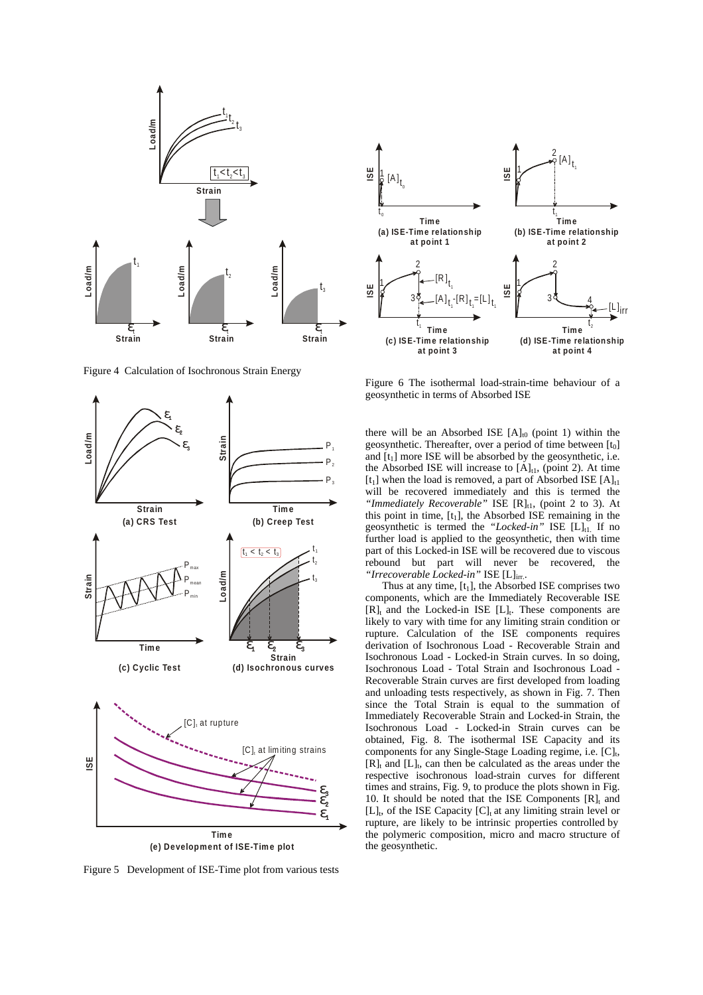

Figure 4 Calculation of Isochronous Strain Energy



Figure 5 Development of ISE-Time plot from various tests



Figure 6 The isothermal load-strain-time behaviour of a geosynthetic in terms of Absorbed ISE

there will be an Absorbed ISE  $[A]_{t0}$  (point 1) within the geosynthetic. Thereafter, over a period of time between  $[t_0]$ and  $[t_1]$  more ISE will be absorbed by the geosynthetic, i.e. the Absorbed ISE will increase to  $[A]_{t1}$ , (point 2). At time  $[t_1]$  when the load is removed, a part of Absorbed ISE  $[A]_{t_1}$ will be recovered immediately and this is termed the "Immediately Recoverable" ISE [R]<sub>t1</sub>, (point 2 to 3). At this point in time,  $[t_1]$ , the Absorbed ISE remaining in the geosynthetic is termed the "Locked-in" ISE [L]<sub>t1</sub>. If no further load is applied to the geosynthetic, then with time part of this Locked-in ISE will be recovered due to viscous rebound but part will never be recovered, the *"Irrecoverable Locked-in"* ISE [L]irr..

Thus at any time,  $[t_1]$ , the Absorbed ISE comprises two components, which are the Immediately Recoverable ISE  $[R]_t$  and the Locked-in ISE  $[L]_t$ . These components are likely to vary with time for any limiting strain condition or rupture. Calculation of the ISE components requires derivation of Isochronous Load - Recoverable Strain and Isochronous Load - Locked-in Strain curves. In so doing, Isochronous Load - Total Strain and Isochronous Load - Recoverable Strain curves are first developed from loading and unloading tests respectively, as shown in Fig. 7. Then since the Total Strain is equal to the summation of Immediately Recoverable Strain and Locked-in Strain, the Isochronous Load - Locked-in Strain curves can be obtained, Fig. 8. The isothermal ISE Capacity and its components for any Single-Stage Loading regime, i.e.  $[C]_t$ ,  $[R]_t$  and  $[L]_t$ , can then be calculated as the areas under the respective isochronous load-strain curves for different times and strains, Fig. 9, to produce the plots shown in Fig. 10. It should be noted that the ISE Components  $[R]_t$  and  $[L]_t$ , of the ISE Capacity  $[C]_t$  at any limiting strain level or rupture, are likely to be intrinsic properties controlled by the polymeric composition, micro and macro structure of the geosynthetic.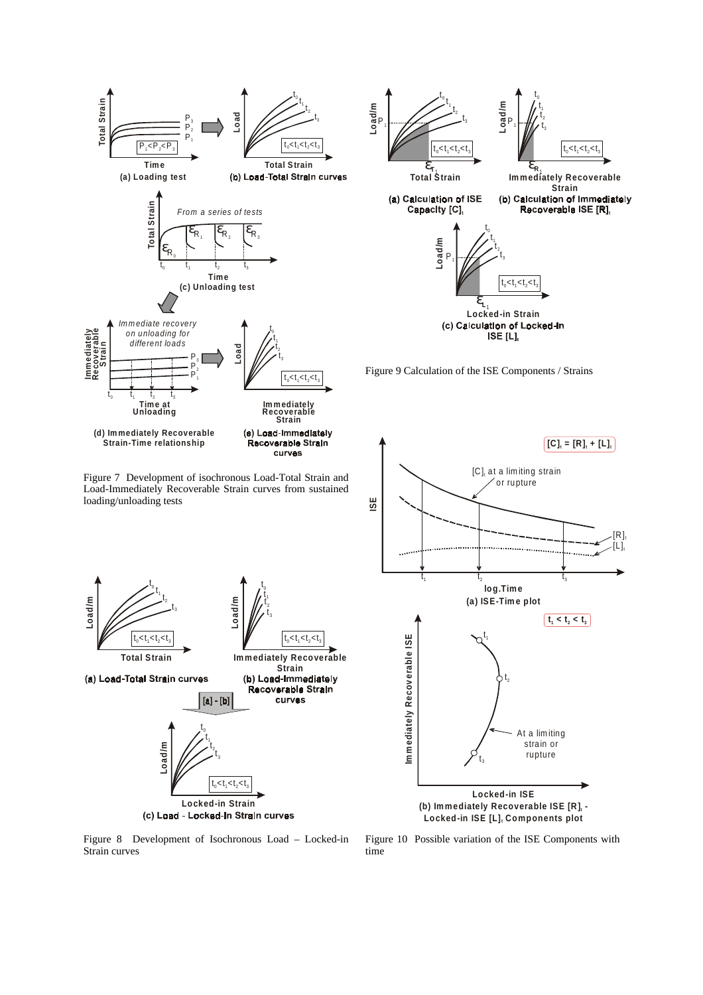

Figure 8 Development of Isochronous Load – Locked-in Strain curves

Figure 10 Possible variation of the ISE Components with time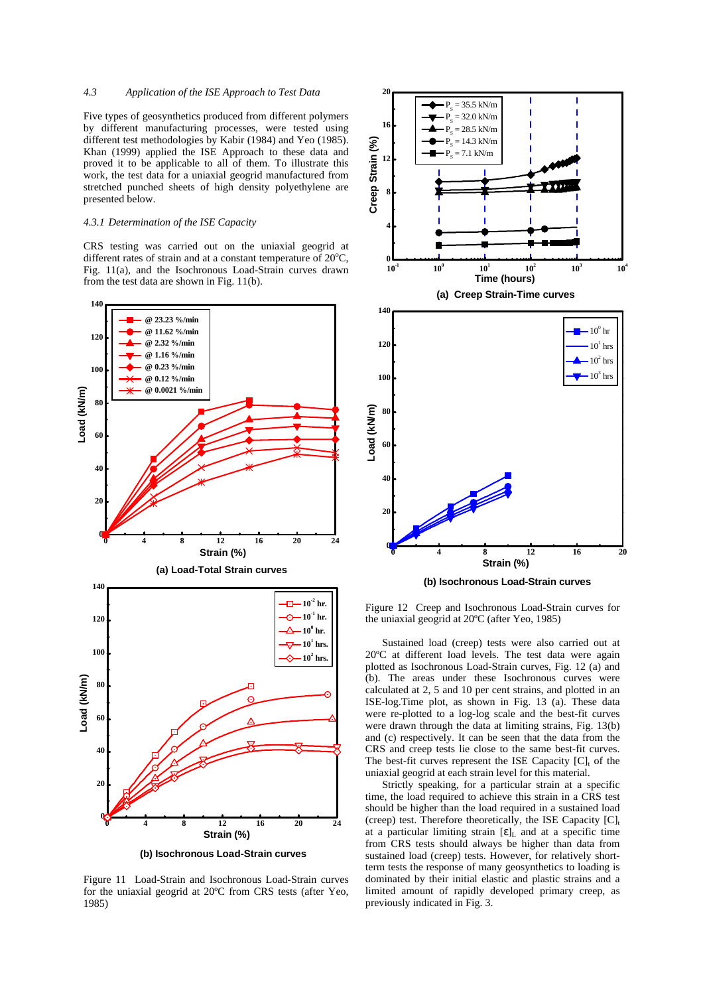# *4.3 Application of the ISE Approach to Test Data*

Five types of geosynthetics produced from different polymers by different manufacturing processes, were tested using different test methodologies by Kabir (1984) and Yeo (1985). Khan (1999) applied the ISE Approach to these data and proved it to be applicable to all of them. To illustrate this work, the test data for a uniaxial geogrid manufactured from stretched punched sheets of high density polyethylene are presented below.

#### *4.3.1 Determination of the ISE Capacity*

CRS testing was carried out on the uniaxial geogrid at different rates of strain and at a constant temperature of 20°C, Fig. 11(a), and the Isochronous Load-Strain curves drawn from the test data are shown in Fig. 11(b).



**(b) Isochronous Load-Strain curves**

Figure 11 Load-Strain and Isochronous Load-Strain curves for the uniaxial geogrid at 20ºC from CRS tests (after Yeo, 1985)



**(b) Isochronous Load-Strain curves**

Figure 12 Creep and Isochronous Load-Strain curves for the uniaxial geogrid at 20ºC (after Yeo, 1985)

Sustained load (creep) tests were also carried out at 20ºC at different load levels. The test data were again plotted as Isochronous Load-Strain curves, Fig. 12 (a) and (b). The areas under these Isochronous curves were calculated at 2, 5 and 10 per cent strains, and plotted in an ISE-log.Time plot, as shown in Fig. 13 (a). These data were re-plotted to a log-log scale and the best-fit curves were drawn through the data at limiting strains, Fig. 13(b) and (c) respectively. It can be seen that the data from the CRS and creep tests lie close to the same best-fit curves. The best-fit curves represent the ISE Capacity  $[C]_t$  of the uniaxial geogrid at each strain level for this material.

Strictly speaking, for a particular strain at a specific time, the load required to achieve this strain in a CRS test should be higher than the load required in a sustained load (creep) test. Therefore theoretically, the ISE Capacity  $[C]_t$ at a particular limiting strain  $[\varepsilon]_L$  and at a specific time from CRS tests should always be higher than data from sustained load (creep) tests. However, for relatively shortterm tests the response of many geosynthetics to loading is dominated by their initial elastic and plastic strains and a limited amount of rapidly developed primary creep, as previously indicated in Fig. 3.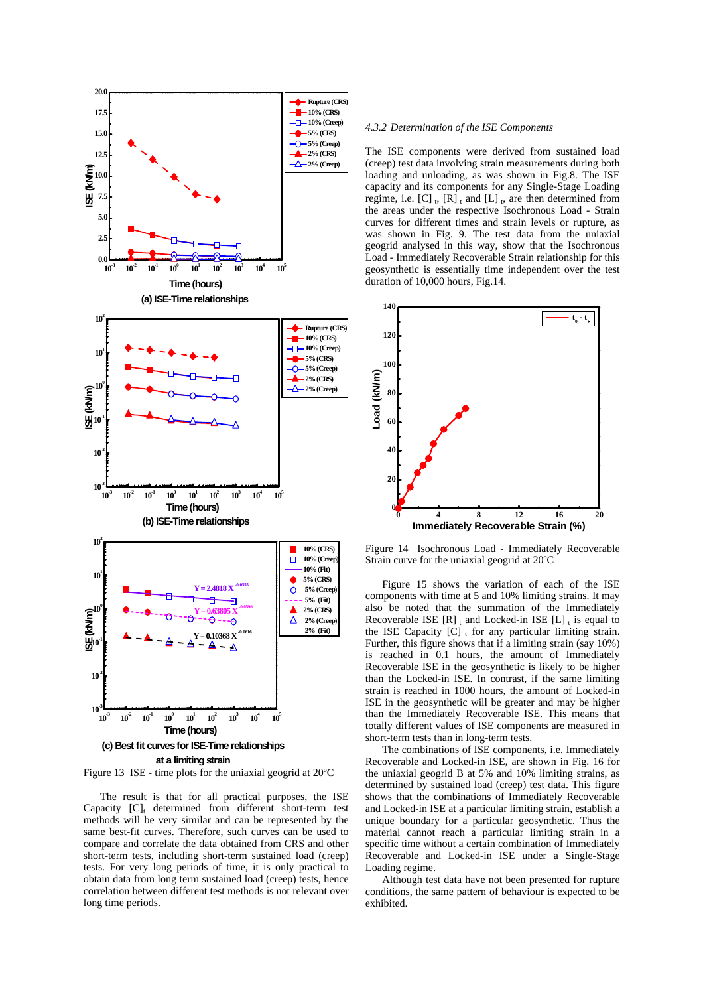

Figure 13 ISE - time plots for the uniaxial geogrid at 20ºC

The result is that for all practical purposes, the ISE Capacity  $[C]_t$  determined from different short-term test methods will be very similar and can be represented by the same best-fit curves. Therefore, such curves can be used to compare and correlate the data obtained from CRS and other short-term tests, including short-term sustained load (creep) tests. For very long periods of time, it is only practical to obtain data from long term sustained load (creep) tests, hence correlation between different test methods is not relevant over long time periods.

## *4.3.2 Determination of the ISE Components*

The ISE components were derived from sustained load (creep) test data involving strain measurements during both loading and unloading, as was shown in Fig.8. The ISE capacity and its components for any Single-Stage Loading regime, i.e.  $[C]_1$ ,  $[R]_1$  and  $[L]_1$ , are then determined from the areas under the respective Isochronous Load - Strain curves for different times and strain levels or rupture, as was shown in Fig. 9. The test data from the uniaxial geogrid analysed in this way, show that the Isochronous Load - Immediately Recoverable Strain relationship for this geosynthetic is essentially time independent over the test duration of 10,000 hours, Fig.14.



Figure 14 Isochronous Load - Immediately Recoverable Strain curve for the uniaxial geogrid at 20ºC

Figure 15 shows the variation of each of the ISE components with time at 5 and 10% limiting strains. It may also be noted that the summation of the Immediately Recoverable ISE  $[R]_t$  and Locked-in ISE  $[L]_t$  is equal to the ISE Capacity  $[C]_t$  for any particular limiting strain. Further, this figure shows that if a limiting strain (say 10%) is reached in 0.1 hours, the amount of Immediately Recoverable ISE in the geosynthetic is likely to be higher than the Locked-in ISE. In contrast, if the same limiting strain is reached in 1000 hours, the amount of Locked-in ISE in the geosynthetic will be greater and may be higher than the Immediately Recoverable ISE. This means that totally different values of ISE components are measured in short-term tests than in long-term tests.

The combinations of ISE components, i.e. Immediately Recoverable and Locked-in ISE, are shown in Fig. 16 for the uniaxial geogrid B at 5% and 10% limiting strains, as determined by sustained load (creep) test data. This figure shows that the combinations of Immediately Recoverable and Locked-in ISE at a particular limiting strain, establish a unique boundary for a particular geosynthetic. Thus the material cannot reach a particular limiting strain in a specific time without a certain combination of Immediately Recoverable and Locked-in ISE under a Single-Stage Loading regime.

Although test data have not been presented for rupture conditions, the same pattern of behaviour is expected to be exhibited.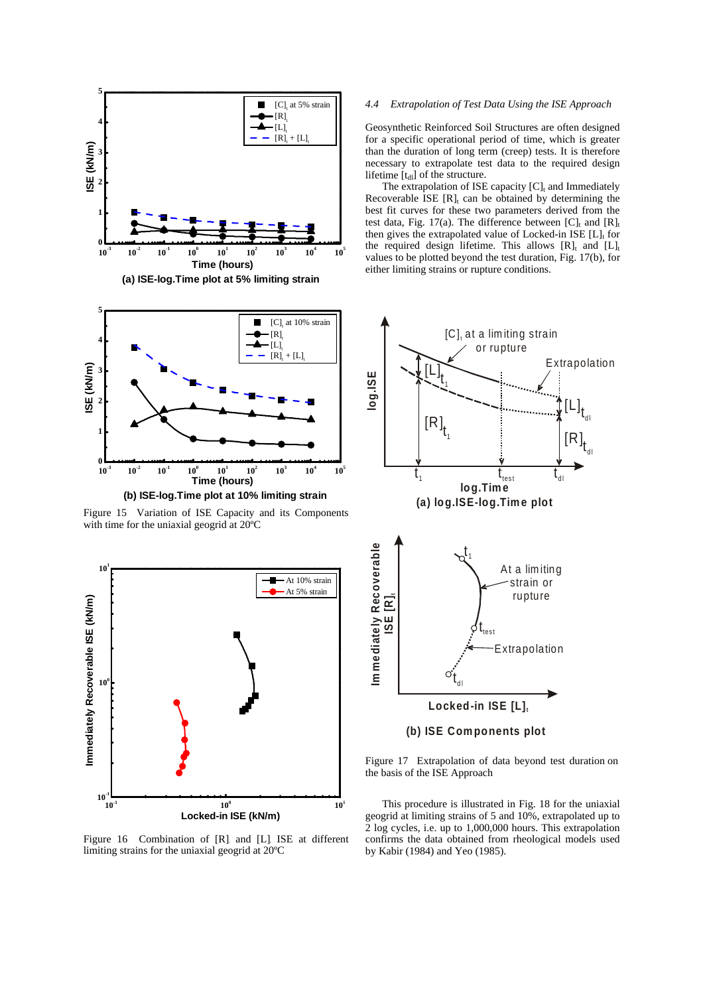

Figure 15 Variation of ISE Capacity and its Components with time for the uniaxial geogrid at 20ºC



Figure 16 Combination of  $[R]$  and  $[L]$  ISE at different limiting strains for the uniaxial geogrid at 20ºC

# *4.4 Extrapolation of Test Data Using the ISE Approach*

Geosynthetic Reinforced Soil Structures are often designed for a specific operational period of time, which is greater than the duration of long term (creep) tests. It is therefore necessary to extrapolate test data to the required design lifetime  $[t_{dl}]$  of the structure.

The extrapolation of ISE capacity  $[C]_t$  and Immediately Recoverable ISE  $[R]_t$  can be obtained by determining the best fit curves for these two parameters derived from the test data, Fig. 17(a). The difference between  $[C]_t$  and  $[R]_t$ then gives the extrapolated value of Locked-in ISE  $[L]_t$  for the required design lifetime. This allows  $[R]_t$  and  $[L]_t$ values to be plotted beyond the test duration, Fig. 17(b), for either limiting strains or rupture conditions.



Figure 17 Extrapolation of data beyond test duration on the basis of the ISE Approach

This procedure is illustrated in Fig. 18 for the uniaxial geogrid at limiting strains of 5 and 10%, extrapolated up to 2 log cycles, i.e. up to 1,000,000 hours. This extrapolation confirms the data obtained from rheological models used by Kabir (1984) and Yeo (1985).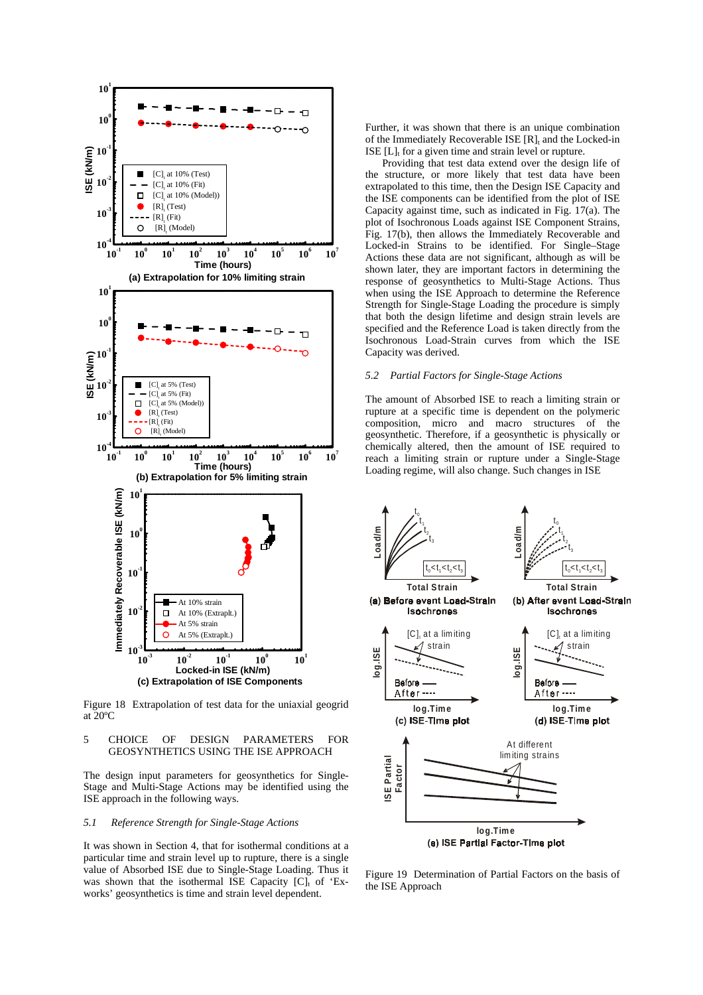

Figure 18 Extrapolation of test data for the uniaxial geogrid at 20ºC

# 5 CHOICE OF DESIGN PARAMETERS FOR GEOSYNTHETICS USING THE ISE APPROACH

The design input parameters for geosynthetics for Single-Stage and Multi-Stage Actions may be identified using the ISE approach in the following ways.

# *5.1 Reference Strength for Single-Stage Actions*

It was shown in Section 4, that for isothermal conditions at a particular time and strain level up to rupture, there is a single value of Absorbed ISE due to Single-Stage Loading. Thus it was shown that the isothermal ISE Capacity  $[C]_t$  of 'Exworks' geosynthetics is time and strain level dependent.

Further, it was shown that there is an unique combination of the Immediately Recoverable ISE [R], and the Locked-in ISE  $[L]$ <sub>t</sub> for a given time and strain level or rupture.

Providing that test data extend over the design life of the structure, or more likely that test data have been extrapolated to this time, then the Design ISE Capacity and the ISE components can be identified from the plot of ISE Capacity against time, such as indicated in Fig. 17(a). The plot of Isochronous Loads against ISE Component Strains, Fig. 17(b), then allows the Immediately Recoverable and Locked-in Strains to be identified. For Single–Stage Actions these data are not significant, although as will be shown later, they are important factors in determining the response of geosynthetics to Multi-Stage Actions. Thus when using the ISE Approach to determine the Reference Strength for Single-Stage Loading the procedure is simply that both the design lifetime and design strain levels are specified and the Reference Load is taken directly from the Isochronous Load-Strain curves from which the ISE Capacity was derived.

# *5.2 Partial Factors for Single-Stage Actions*

The amount of Absorbed ISE to reach a limiting strain or rupture at a specific time is dependent on the polymeric composition, micro and macro structures of the geosynthetic. Therefore, if a geosynthetic is physically or chemically altered, then the amount of ISE required to reach a limiting strain or rupture under a Single-Stage Loading regime, will also change. Such changes in ISE



Figure 19 Determination of Partial Factors on the basis of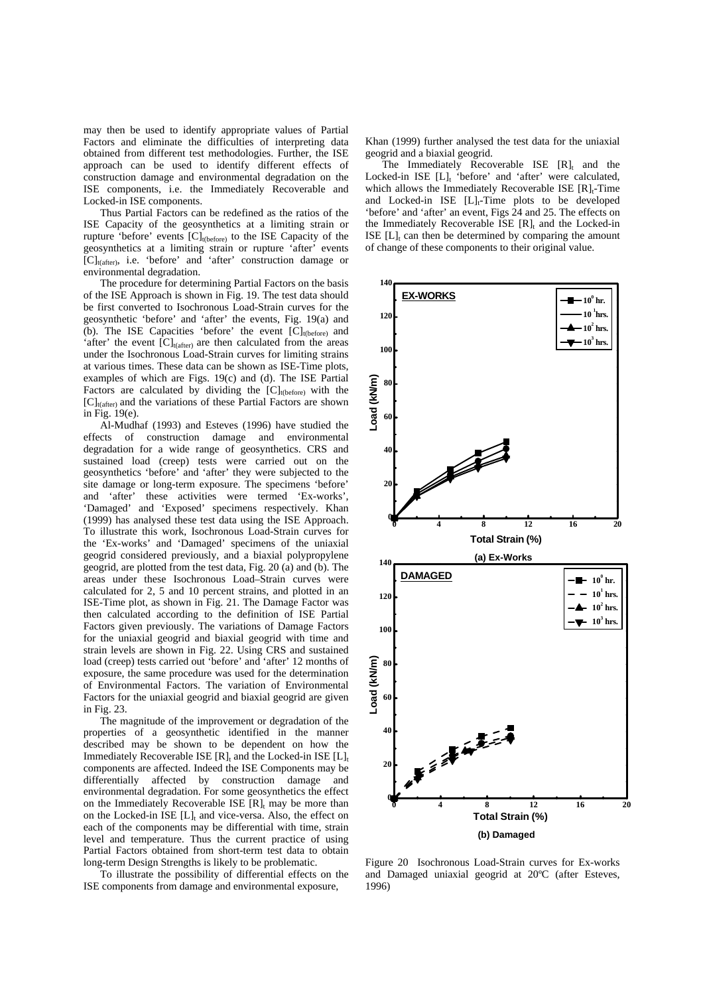may then be used to identify appropriate values of Partial Factors and eliminate the difficulties of interpreting data obtained from different test methodologies. Further, the ISE approach can be used to identify different effects of construction damage and environmental degradation on the ISE components, i.e. the Immediately Recoverable and Locked-in ISE components.

Thus Partial Factors can be redefined as the ratios of the ISE Capacity of the geosynthetics at a limiting strain or rupture 'before' events [C]<sub>t(before)</sub> to the ISE Capacity of the geosynthetics at a limiting strain or rupture 'after' events  $[C]_{t(after)}$ , i.e. 'before' and 'after' construction damage or environmental degradation.

The procedure for determining Partial Factors on the basis of the ISE Approach is shown in Fig. 19. The test data should be first converted to Isochronous Load-Strain curves for the geosynthetic 'before' and 'after' the events, Fig. 19(a) and (b). The ISE Capacities 'before' the event  $\overline{[C]}_{\text{t(before)}}$  and 'after' the event  $[C]_{t(after)}$  are then calculated from the areas under the Isochronous Load-Strain curves for limiting strains at various times. These data can be shown as ISE-Time plots, examples of which are Figs. 19(c) and (d). The ISE Partial Factors are calculated by dividing the  $[C]_{t(before)}$  with the  $[C]_{t(\text{after})}$  and the variations of these Partial Factors are shown in Fig. 19(e).

Al-Mudhaf (1993) and Esteves (1996) have studied the effects of construction damage and environmental degradation for a wide range of geosynthetics. CRS and sustained load (creep) tests were carried out on the geosynthetics 'before' and 'after' they were subjected to the site damage or long-term exposure. The specimens 'before' and 'after' these activities were termed 'Ex-works', 'Damaged' and 'Exposed' specimens respectively. Khan (1999) has analysed these test data using the ISE Approach. To illustrate this work, Isochronous Load-Strain curves for the 'Ex-works' and 'Damaged' specimens of the uniaxial geogrid considered previously, and a biaxial polypropylene geogrid, are plotted from the test data, Fig. 20 (a) and (b). The areas under these Isochronous Load–Strain curves were calculated for 2, 5 and 10 percent strains, and plotted in an ISE-Time plot, as shown in Fig. 21. The Damage Factor was then calculated according to the definition of ISE Partial Factors given previously. The variations of Damage Factors for the uniaxial geogrid and biaxial geogrid with time and strain levels are shown in Fig. 22. Using CRS and sustained load (creep) tests carried out 'before' and 'after' 12 months of exposure, the same procedure was used for the determination of Environmental Factors. The variation of Environmental Factors for the uniaxial geogrid and biaxial geogrid are given in Fig. 23.

The magnitude of the improvement or degradation of the properties of a geosynthetic identified in the manner described may be shown to be dependent on how the Immediately Recoverable ISE  $[R]_t$  and the Locked-in ISE  $[L]_t$ components are affected. Indeed the ISE Components may be differentially affected by construction damage and environmental degradation. For some geosynthetics the effect on the Immediately Recoverable ISE  $[R]_t$  may be more than on the Locked-in ISE  $[L]_t$  and vice-versa. Also, the effect on each of the components may be differential with time, strain level and temperature. Thus the current practice of using Partial Factors obtained from short-term test data to obtain long-term Design Strengths is likely to be problematic.

To illustrate the possibility of differential effects on the ISE components from damage and environmental exposure,

Khan (1999) further analysed the test data for the uniaxial geogrid and a biaxial geogrid.

The Immediately Recoverable ISE  $[R]$  and the Locked-in ISE [L], 'before' and 'after' were calculated, which allows the Immediately Recoverable ISE  $[R]_t$ -Time and Locked-in ISE  $[L]_t$ -Time plots to be developed 'before' and 'after' an event, Figs 24 and 25. The effects on the Immediately Recoverable ISE  $[R]_t$  and the Locked-in ISE  $[L]_t$  can then be determined by comparing the amount of change of these components to their original value.



Figure 20 Isochronous Load-Strain curves for Ex-works and Damaged uniaxial geogrid at 20ºC (after Esteves, 1996)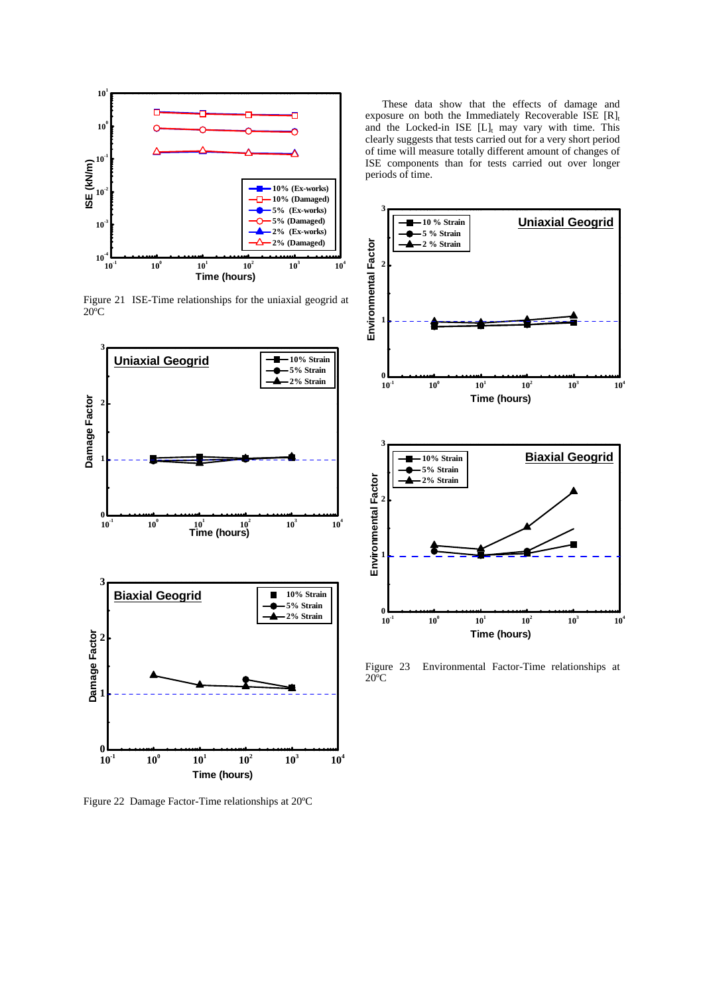

Figure 21 ISE-Time relationships for the uniaxial geogrid at  $20^{\circ}$ C



Figure 22 Damage Factor-Time relationships at 20ºC

These data show that the effects of damage and exposure on both the Immediately Recoverable ISE  $[R]_t$ and the Locked-in ISE  $[L]_t$  may vary with time. This clearly suggests that tests carried out for a very short period of time will measure totally different amount of changes of ISE components than for tests carried out over longer periods of time.



Figure 23 Environmental Factor-Time relationships at 20ºC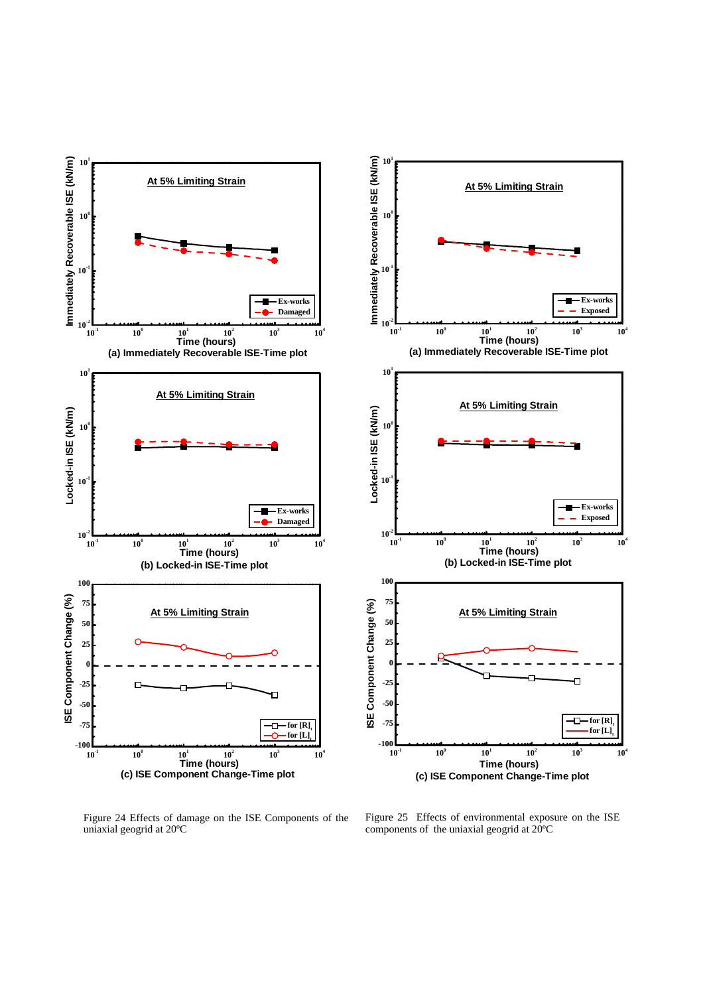

Figure 24 Effects of damage on the ISE Components of the uniaxial geogrid at 20ºC

Figure 25 Effects of environmental exposure on the ISE components of the uniaxial geogrid at 20ºC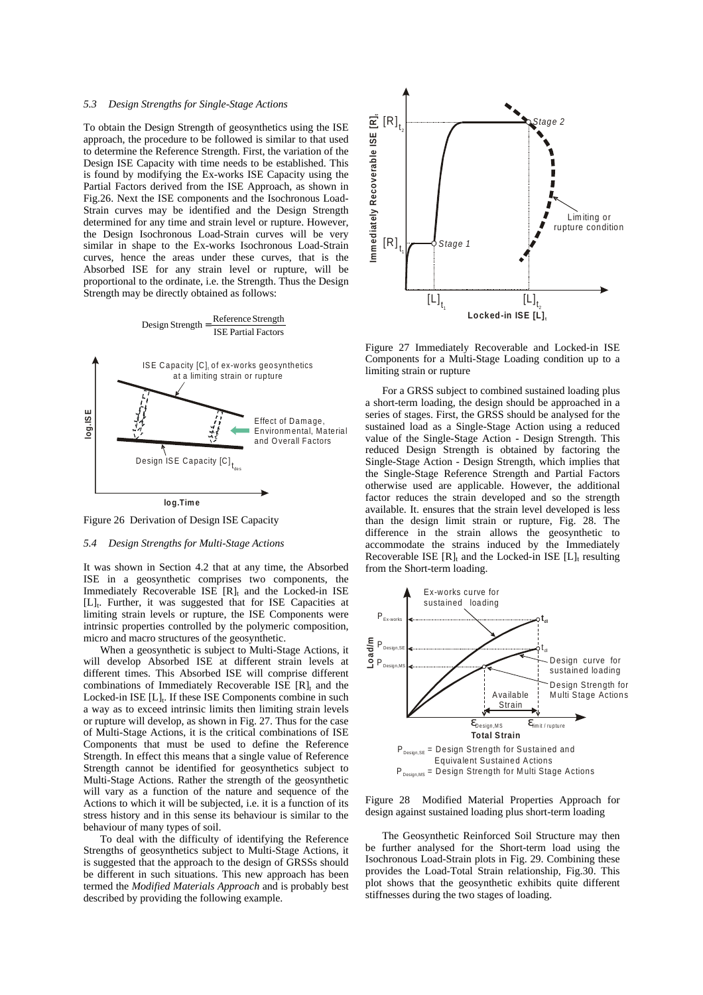## *5.3 Design Strengths for Single-Stage Actions*

To obtain the Design Strength of geosynthetics using the ISE approach, the procedure to be followed is similar to that used to determine the Reference Strength. First, the variation of the Design ISE Capacity with time needs to be established. This is found by modifying the Ex-works ISE Capacity using the Partial Factors derived from the ISE Approach, as shown in Fig.26. Next the ISE components and the Isochronous Load-Strain curves may be identified and the Design Strength determined for any time and strain level or rupture. However, the Design Isochronous Load-Strain curves will be very similar in shape to the Ex-works Isochronous Load-Strain curves, hence the areas under these curves, that is the Absorbed ISE for any strain level or rupture, will be proportional to the ordinate, i.e. the Strength. Thus the Design Strength may be directly obtained as follows:



Figure 26 Derivation of Design ISE Capacity

## *5.4 Design Strengths for Multi-Stage Actions*

It was shown in Section 4.2 that at any time, the Absorbed ISE in a geosynthetic comprises two components, the Immediately Recoverable ISE  $[R]_t$  and the Locked-in ISE [L]<sub>t</sub>. Further, it was suggested that for ISE Capacities at limiting strain levels or rupture, the ISE Components were intrinsic properties controlled by the polymeric composition, micro and macro structures of the geosynthetic.

When a geosynthetic is subject to Multi-Stage Actions, it will develop Absorbed ISE at different strain levels at different times. This Absorbed ISE will comprise different combinations of Immediately Recoverable ISE  $[R]_t$  and the Locked-in ISE  $[L]_t$ . If these ISE Components combine in such a way as to exceed intrinsic limits then limiting strain levels or rupture will develop, as shown in Fig. 27. Thus for the case of Multi-Stage Actions, it is the critical combinations of ISE Components that must be used to define the Reference Strength. In effect this means that a single value of Reference Strength cannot be identified for geosynthetics subject to Multi-Stage Actions. Rather the strength of the geosynthetic will vary as a function of the nature and sequence of the Actions to which it will be subjected, i.e. it is a function of its stress history and in this sense its behaviour is similar to the behaviour of many types of soil.

To deal with the difficulty of identifying the Reference Strengths of geosynthetics subject to Multi-Stage Actions, it is suggested that the approach to the design of GRSSs should be different in such situations. This new approach has been termed the *Modified Materials Approach* and is probably best described by providing the following example.



Figure 27 Immediately Recoverable and Locked-in ISE Components for a Multi-Stage Loading condition up to a limiting strain or rupture

For a GRSS subject to combined sustained loading plus a short-term loading, the design should be approached in a series of stages. First, the GRSS should be analysed for the sustained load as a Single-Stage Action using a reduced value of the Single-Stage Action - Design Strength. This reduced Design Strength is obtained by factoring the Single-Stage Action - Design Strength, which implies that the Single-Stage Reference Strength and Partial Factors otherwise used are applicable. However, the additional factor reduces the strain developed and so the strength available. It. ensures that the strain level developed is less than the design limit strain or rupture, Fig. 28. The difference in the strain allows the geosynthetic to accommodate the strains induced by the Immediately Recoverable ISE  $[R]_t$  and the Locked-in ISE  $[L]_t$  resulting from the Short-term loading.



Figure 28 Modified Material Properties Approach for design against sustained loading plus short-term loading

The Geosynthetic Reinforced Soil Structure may then be further analysed for the Short-term load using the Isochronous Load-Strain plots in Fig. 29. Combining these provides the Load-Total Strain relationship, Fig.30. This plot shows that the geosynthetic exhibits quite different stiffnesses during the two stages of loading.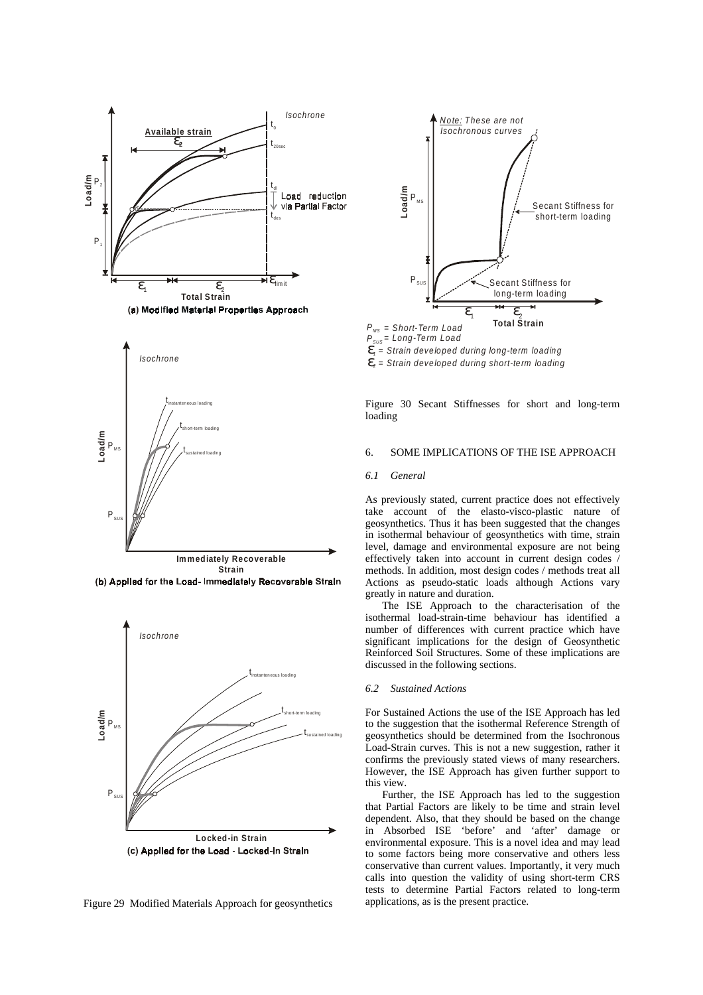

(a) Modified Material Properties Approach















 $\mathbf{E}_{i}$  = Strain developed during long-term loading

 $\mathbf{E}_2$  = Strain developed during short-term loading

Figure 30 Secant Stiffnesses for short and long-term loading

# 6. SOME IMPLICATIONS OF THE ISE APPROACH

## *6.1 General*

As previously stated, current practice does not effectively take account of the elasto-visco-plastic nature of geosynthetics. Thus it has been suggested that the changes in isothermal behaviour of geosynthetics with time, strain level, damage and environmental exposure are not being effectively taken into account in current design codes / methods. In addition, most design codes / methods treat all Actions as pseudo-static loads although Actions vary greatly in nature and duration.

The ISE Approach to the characterisation of the isothermal load-strain-time behaviour has identified a number of differences with current practice which have significant implications for the design of Geosynthetic Reinforced Soil Structures. Some of these implications are discussed in the following sections.

#### *6.2 Sustained Actions*

For Sustained Actions the use of the ISE Approach has led to the suggestion that the isothermal Reference Strength of geosynthetics should be determined from the Isochronous Load-Strain curves. This is not a new suggestion, rather it confirms the previously stated views of many researchers. However, the ISE Approach has given further support to this view.

Further, the ISE Approach has led to the suggestion that Partial Factors are likely to be time and strain level dependent. Also, that they should be based on the change in Absorbed ISE 'before' and 'after' damage or environmental exposure. This is a novel idea and may lead to some factors being more conservative and others less conservative than current values. Importantly, it very much calls into question the validity of using short-term CRS tests to determine Partial Factors related to long-term applications, as is the present practice.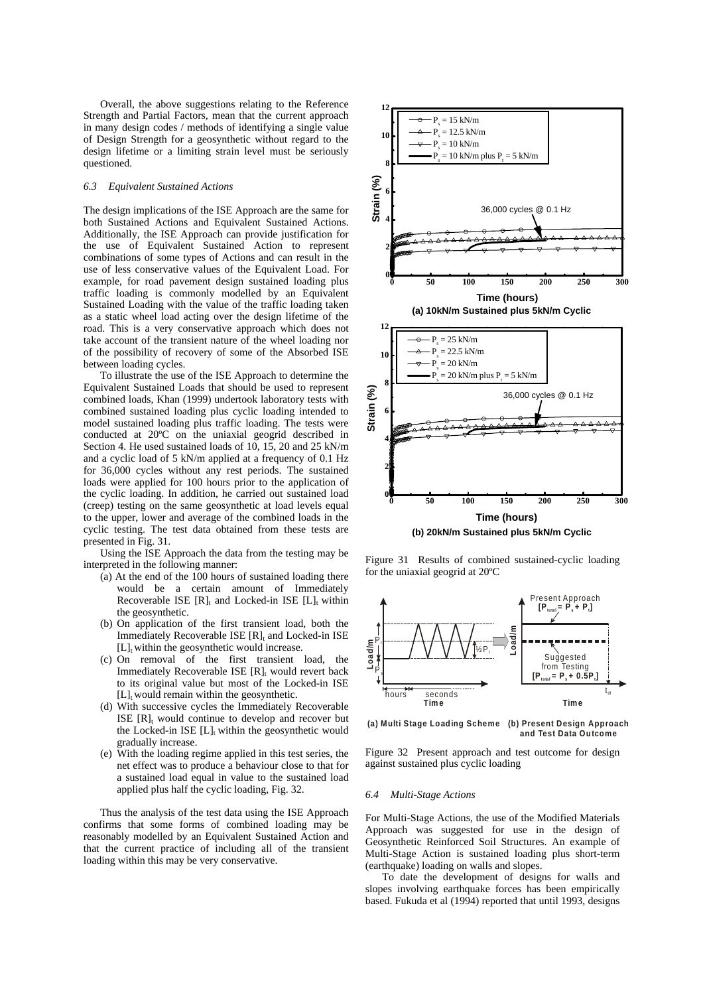Overall, the above suggestions relating to the Reference Strength and Partial Factors, mean that the current approach in many design codes / methods of identifying a single value of Design Strength for a geosynthetic without regard to the design lifetime or a limiting strain level must be seriously questioned.

# *6.3 Equivalent Sustained Actions*

The design implications of the ISE Approach are the same for both Sustained Actions and Equivalent Sustained Actions. Additionally, the ISE Approach can provide justification for the use of Equivalent Sustained Action to represent combinations of some types of Actions and can result in the use of less conservative values of the Equivalent Load. For example, for road pavement design sustained loading plus traffic loading is commonly modelled by an Equivalent Sustained Loading with the value of the traffic loading taken as a static wheel load acting over the design lifetime of the road. This is a very conservative approach which does not take account of the transient nature of the wheel loading nor of the possibility of recovery of some of the Absorbed ISE between loading cycles.

To illustrate the use of the ISE Approach to determine the Equivalent Sustained Loads that should be used to represent combined loads, Khan (1999) undertook laboratory tests with combined sustained loading plus cyclic loading intended to model sustained loading plus traffic loading. The tests were conducted at 20ºC on the uniaxial geogrid described in Section 4. He used sustained loads of 10, 15, 20 and 25 kN/m and a cyclic load of 5 kN/m applied at a frequency of 0.1 Hz for 36,000 cycles without any rest periods. The sustained loads were applied for 100 hours prior to the application of the cyclic loading. In addition, he carried out sustained load (creep) testing on the same geosynthetic at load levels equal to the upper, lower and average of the combined loads in the cyclic testing. The test data obtained from these tests are presented in Fig. 31.

Using the ISE Approach the data from the testing may be interpreted in the following manner:

- (a) At the end of the 100 hours of sustained loading there would be a certain amount of Immediately Recoverable ISE  $[R]_t$  and Locked-in ISE  $[L]_t$  within the geosynthetic.
- (b) On application of the first transient load, both the Immediately Recoverable ISE  $[R]_t$  and Locked-in ISE  $[L]$ <sub>t</sub> within the geosynthetic would increase.
- (c) On removal of the first transient load, the Immediately Recoverable ISE  $[R]_t$  would revert back to its original value but most of the Locked-in ISE  $[L]_t$  would remain within the geosynthetic.
- (d) With successive cycles the Immediately Recoverable ISE  $[R]_t$  would continue to develop and recover but the Locked-in ISE  $[L]_t$  within the geosynthetic would gradually increase.
- (e) With the loading regime applied in this test series, the net effect was to produce a behaviour close to that for a sustained load equal in value to the sustained load applied plus half the cyclic loading, Fig. 32.

Thus the analysis of the test data using the ISE Approach confirms that some forms of combined loading may be reasonably modelled by an Equivalent Sustained Action and that the current practice of including all of the transient loading within this may be very conservative.



Figure 31 Results of combined sustained-cyclic loading for the uniaxial geogrid at 20ºC



**(a) Multi Stage Loading Scheme (b) Present Design Approach and Test Data Outcome**

Figure 32 Present approach and test outcome for design against sustained plus cyclic loading

## *6.4 Multi-Stage Actions*

For Multi-Stage Actions, the use of the Modified Materials Approach was suggested for use in the design of Geosynthetic Reinforced Soil Structures. An example of Multi-Stage Action is sustained loading plus short-term (earthquake) loading on walls and slopes.

To date the development of designs for walls and slopes involving earthquake forces has been empirically based. Fukuda et al (1994) reported that until 1993, designs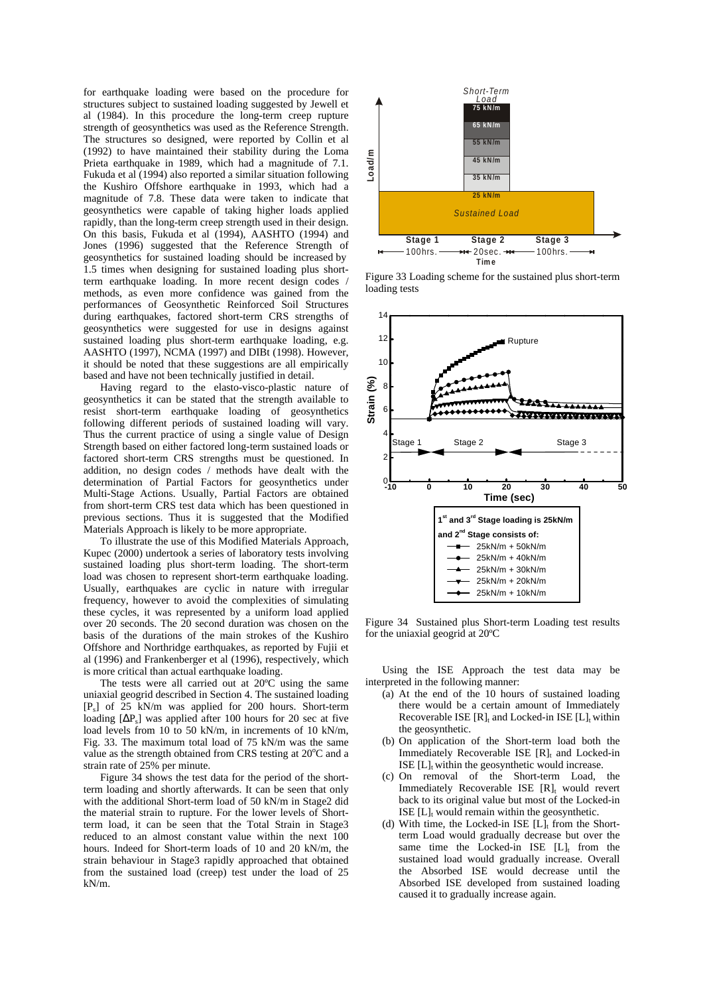for earthquake loading were based on the procedure for structures subject to sustained loading suggested by Jewell et al (1984). In this procedure the long-term creep rupture strength of geosynthetics was used as the Reference Strength. The structures so designed, were reported by Collin et al (1992) to have maintained their stability during the Loma Prieta earthquake in 1989, which had a magnitude of 7.1. Fukuda et al (1994) also reported a similar situation following the Kushiro Offshore earthquake in 1993, which had a magnitude of 7.8. These data were taken to indicate that geosynthetics were capable of taking higher loads applied rapidly, than the long-term creep strength used in their design. On this basis, Fukuda et al (1994), AASHTO (1994) and Jones (1996) suggested that the Reference Strength of geosynthetics for sustained loading should be increased by 1.5 times when designing for sustained loading plus shortterm earthquake loading. In more recent design codes / methods, as even more confidence was gained from the performances of Geosynthetic Reinforced Soil Structures during earthquakes, factored short-term CRS strengths of geosynthetics were suggested for use in designs against sustained loading plus short-term earthquake loading, e.g. AASHTO (1997), NCMA (1997) and DIBt (1998). However, it should be noted that these suggestions are all empirically based and have not been technically justified in detail.

Having regard to the elasto-visco-plastic nature of geosynthetics it can be stated that the strength available to resist short-term earthquake loading of geosynthetics following different periods of sustained loading will vary. Thus the current practice of using a single value of Design Strength based on either factored long-term sustained loads or factored short-term CRS strengths must be questioned. In addition, no design codes / methods have dealt with the determination of Partial Factors for geosynthetics under Multi-Stage Actions. Usually, Partial Factors are obtained from short-term CRS test data which has been questioned in previous sections. Thus it is suggested that the Modified Materials Approach is likely to be more appropriate.

To illustrate the use of this Modified Materials Approach, Kupec (2000) undertook a series of laboratory tests involving sustained loading plus short-term loading. The short-term load was chosen to represent short-term earthquake loading. Usually, earthquakes are cyclic in nature with irregular frequency, however to avoid the complexities of simulating these cycles, it was represented by a uniform load applied over 20 seconds. The 20 second duration was chosen on the basis of the durations of the main strokes of the Kushiro Offshore and Northridge earthquakes, as reported by Fujii et al (1996) and Frankenberger et al (1996), respectively, which is more critical than actual earthquake loading.

The tests were all carried out at 20ºC using the same uniaxial geogrid described in Section 4. The sustained loading  $[P_s]$  of 25 kN/m was applied for 200 hours. Short-term loading  $[\Delta P_s]$  was applied after 100 hours for 20 sec at five load levels from 10 to 50 kN/m, in increments of 10 kN/m, Fig. 33. The maximum total load of 75 kN/m was the same value as the strength obtained from CRS testing at 20°C and a strain rate of 25% per minute.

Figure 34 shows the test data for the period of the shortterm loading and shortly afterwards. It can be seen that only with the additional Short-term load of 50 kN/m in Stage2 did the material strain to rupture. For the lower levels of Shortterm load, it can be seen that the Total Strain in Stage3 reduced to an almost constant value within the next 100 hours. Indeed for Short-term loads of 10 and 20 kN/m, the strain behaviour in Stage3 rapidly approached that obtained from the sustained load (creep) test under the load of 25 kN/m.



Figure 33 Loading scheme for the sustained plus short-term loading tests



Figure 34 Sustained plus Short-term Loading test results for the uniaxial geogrid at 20ºC

Using the ISE Approach the test data may be interpreted in the following manner:

- (a) At the end of the 10 hours of sustained loading there would be a certain amount of Immediately Recoverable ISE  $[R]_t$  and Locked-in ISE  $[L]_t$  within the geosynthetic.
- (b) On application of the Short-term load both the Immediately Recoverable ISE  $[R]_t$  and Locked-in ISE  $[L]$ <sub>t</sub> within the geosynthetic would increase.
- (c) On removal of the Short-term Load, the Immediately Recoverable ISE  $[R]_t$  would revert back to its original value but most of the Locked-in ISE  $[L]_t$  would remain within the geosynthetic.
- (d) With time, the Locked-in ISE  $[L]_t$  from the Shortterm Load would gradually decrease but over the same time the Locked-in ISE  $[L]_t$  from the sustained load would gradually increase. Overall the Absorbed ISE would decrease until the Absorbed ISE developed from sustained loading caused it to gradually increase again.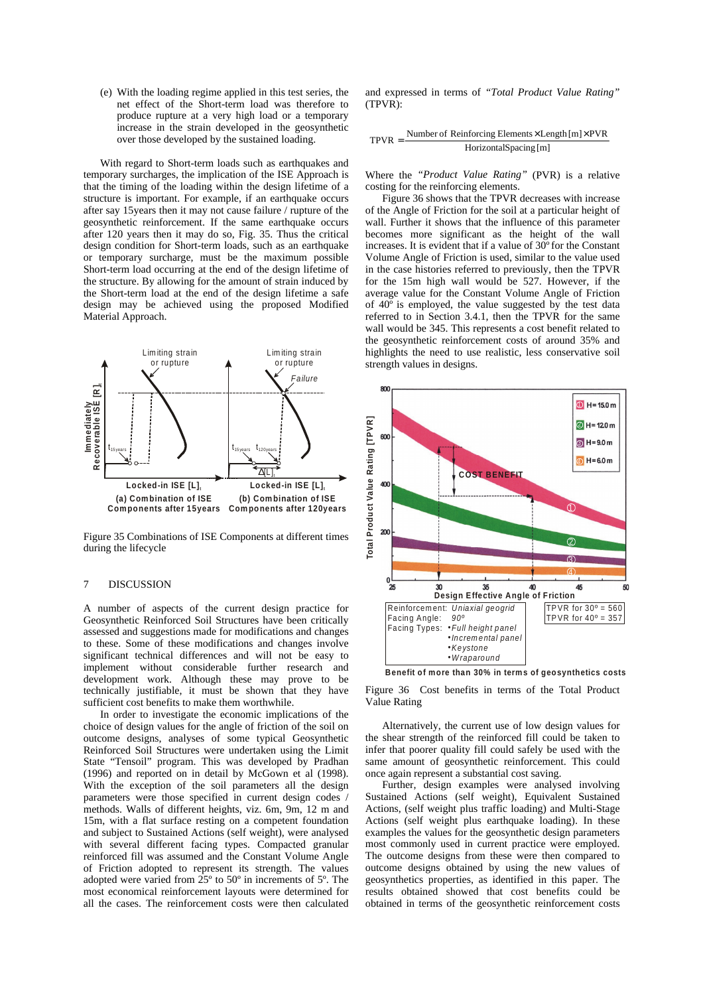(e) With the loading regime applied in this test series, the net effect of the Short-term load was therefore to produce rupture at a very high load or a temporary increase in the strain developed in the geosynthetic over those developed by the sustained loading.

With regard to Short-term loads such as earthquakes and temporary surcharges, the implication of the ISE Approach is that the timing of the loading within the design lifetime of a structure is important. For example, if an earthquake occurs after say 15years then it may not cause failure / rupture of the geosynthetic reinforcement. If the same earthquake occurs after 120 years then it may do so, Fig. 35. Thus the critical design condition for Short-term loads, such as an earthquake or temporary surcharge, must be the maximum possible Short-term load occurring at the end of the design lifetime of the structure. By allowing for the amount of strain induced by the Short-term load at the end of the design lifetime a safe design may be achieved using the proposed Modified Material Approach.



Figure 35 Combinations of ISE Components at different times during the lifecycle

## 7 DISCUSSION

A number of aspects of the current design practice for Geosynthetic Reinforced Soil Structures have been critically assessed and suggestions made for modifications and changes to these. Some of these modifications and changes involve significant technical differences and will not be easy to implement without considerable further research and development work. Although these may prove to be technically justifiable, it must be shown that they have sufficient cost benefits to make them worthwhile.

In order to investigate the economic implications of the choice of design values for the angle of friction of the soil on outcome designs, analyses of some typical Geosynthetic Reinforced Soil Structures were undertaken using the Limit State "Tensoil" program. This was developed by Pradhan (1996) and reported on in detail by McGown et al (1998). With the exception of the soil parameters all the design parameters were those specified in current design codes / methods. Walls of different heights, viz. 6m, 9m, 12 m and 15m, with a flat surface resting on a competent foundation and subject to Sustained Actions (self weight), were analysed with several different facing types. Compacted granular reinforced fill was assumed and the Constant Volume Angle of Friction adopted to represent its strength. The values adopted were varied from 25º to 50º in increments of 5º. The most economical reinforcement layouts were determined for all the cases. The reinforcement costs were then calculated

and expressed in terms of *"Total Product Value Rating"*  $(TPVR)$ 

$$
TPVR = \frac{Number\ of\ Reinforcing Elements \times Length[m] \times PVR}{HorizontalSpacing[m]}
$$

Where the *"Product Value Rating"* (PVR) is a relative costing for the reinforcing elements.

Figure 36 shows that the TPVR decreases with increase of the Angle of Friction for the soil at a particular height of wall. Further it shows that the influence of this parameter becomes more significant as the height of the wall increases. It is evident that if a value of 30º for the Constant Volume Angle of Friction is used, similar to the value used in the case histories referred to previously, then the TPVR for the 15m high wall would be 527. However, if the average value for the Constant Volume Angle of Friction of  $40^{\circ}$  is employed, the value suggested by the test data referred to in Section 3.4.1, then the TPVR for the same wall would be 345. This represents a cost benefit related to the geosynthetic reinforcement costs of around 35% and highlights the need to use realistic, less conservative soil strength values in designs.



**Benefit of more than 30% in terms of geosynthetics costs**

Figure 36 Cost benefits in terms of the Total Product Value Rating

Alternatively, the current use of low design values for the shear strength of the reinforced fill could be taken to infer that poorer quality fill could safely be used with the same amount of geosynthetic reinforcement. This could once again represent a substantial cost saving.

Further, design examples were analysed involving Sustained Actions (self weight), Equivalent Sustained Actions, (self weight plus traffic loading) and Multi-Stage Actions (self weight plus earthquake loading). In these examples the values for the geosynthetic design parameters most commonly used in current practice were employed. The outcome designs from these were then compared to outcome designs obtained by using the new values of geosynthetics properties, as identified in this paper. The results obtained showed that cost benefits could be obtained in terms of the geosynthetic reinforcement costs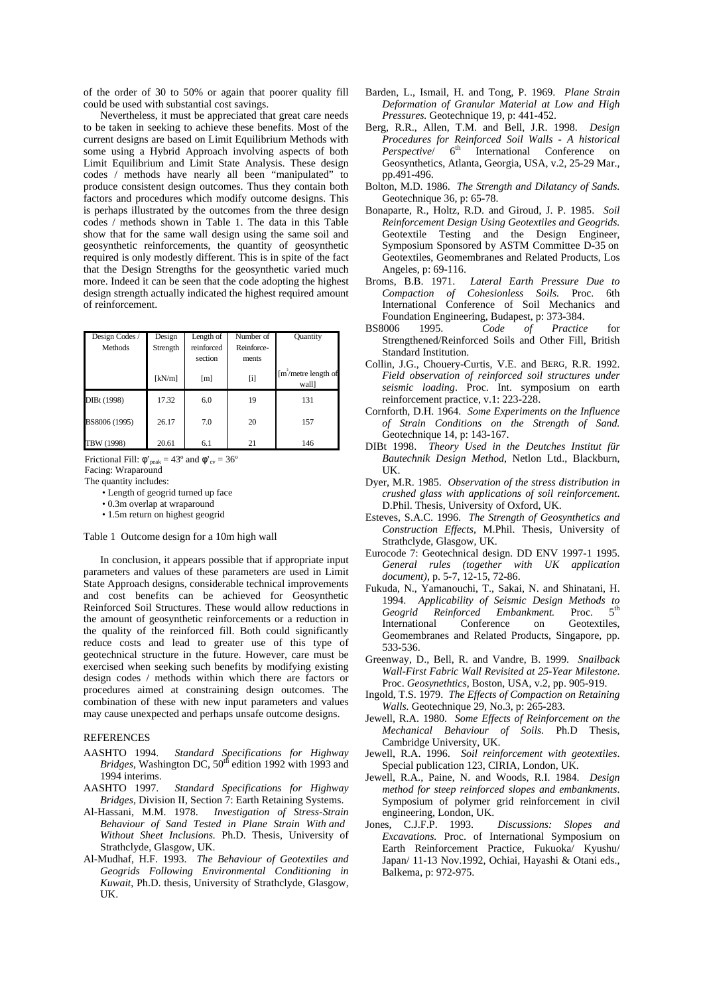of the order of 30 to 50% or again that poorer quality fill could be used with substantial cost savings.

Nevertheless, it must be appreciated that great care needs to be taken in seeking to achieve these benefits. Most of the current designs are based on Limit Equilibrium Methods with some using a Hybrid Approach involving aspects of both Limit Equilibrium and Limit State Analysis. These design codes / methods have nearly all been "manipulated" to produce consistent design outcomes. Thus they contain both factors and procedures which modify outcome designs. This is perhaps illustrated by the outcomes from the three design codes / methods shown in Table 1. The data in this Table show that for the same wall design using the same soil and geosynthetic reinforcements, the quantity of geosynthetic required is only modestly different. This is in spite of the fact that the Design Strengths for the geosynthetic varied much more. Indeed it can be seen that the code adopting the highest design strength actually indicated the highest required amount of reinforcement.

| Design Codes / | Design   | Length of  | Number of                 | Quantity                              |
|----------------|----------|------------|---------------------------|---------------------------------------|
| <b>Methods</b> | Strength | reinforced | Reinforce-                |                                       |
|                |          | section    | ments                     |                                       |
|                | [kN/m]   | [m]        | $\left[ \text{i} \right]$ | $\lceil m'$ /metre length of<br>wall] |
| DIBt (1998)    | 17.32    | 6.0        | 19                        | 131                                   |
| BS8006 (1995)  | 26.17    | 7.0        | 20                        | 157                                   |
| TBW (1998)     | 20.61    | 6.1        | 21                        | 146                                   |

Frictional Fill:  $\phi'_{\text{peak}} = 43^{\circ}$  and  $\phi'_{\text{cv}} = 36^{\circ}$ Facing: Wraparound

The quantity includes:

- 0.3m overlap at wraparound
- 1.5m return on highest geogrid

Table 1 Outcome design for a 10m high wall

In conclusion, it appears possible that if appropriate input parameters and values of these parameters are used in Limit State Approach designs, considerable technical improvements and cost benefits can be achieved for Geosynthetic Reinforced Soil Structures. These would allow reductions in the amount of geosynthetic reinforcements or a reduction in the quality of the reinforced fill. Both could significantly reduce costs and lead to greater use of this type of geotechnical structure in the future. However, care must be exercised when seeking such benefits by modifying existing design codes / methods within which there are factors or procedures aimed at constraining design outcomes. The combination of these with new input parameters and values may cause unexpected and perhaps unsafe outcome designs.

## **REFERENCES**

- AASHTO 1994. *Standard Specifications for Highway Bridges*, Washington DC, 50<sup>th</sup> edition 1992 with 1993 and 1994 interims.
- AASHTO 1997. *Standard Specifications for Highway Bridges*, Division II, Section 7: Earth Retaining Systems.
- Al-Hassani, M.M. 1978. *Investigation of Stress-Strain Behaviour of Sand Tested in Plane Strain With and Without Sheet Inclusions.* Ph.D. Thesis, University of Strathclyde, Glasgow, UK.
- Al-Mudhaf, H.F. 1993. *The Behaviour of Geotextiles and Geogrids Following Environmental Conditioning in Kuwait*, Ph.D. thesis, University of Strathclyde, Glasgow, UK.
- Barden, L., Ismail, H. and Tong, P. 1969. *Plane Strain Deformation of Granular Material at Low and High Pressures.* Geotechnique 19, p: 441-452.
- Berg, R.R., Allen, T.M. and Bell, J.R. 1998. *Design Procedures for Reinforced Soil Walls - A historical Perspective*/ 6<sup>th</sup> International Conference on Geosynthetics, Atlanta, Georgia, USA, v.2, 25-29 Mar., pp.491-496.
- Bolton, M.D. 1986. *The Strength and Dilatancy of Sands.* Geotechnique 36, p: 65-78.
- Bonaparte, R., Holtz, R.D. and Giroud, J. P. 1985. *Soil Reinforcement Design Using Geotextiles and Geogrids.* Geotextile Testing and the Design Engineer, Symposium Sponsored by ASTM Committee D-35 on Geotextiles, Geomembranes and Related Products, Los Angeles, p: 69-116.
- Broms, B.B. 1971. *Lateral Earth Pressure Due to Compaction of Cohesionless Soils.* Proc. 6th International Conference of Soil Mechanics and Foundation Engineering, Budapest, p: 373-384.<br>BS8006 1995. Code of Practice
- *Practice* for Strengthened/Reinforced Soils and Other Fill, British Standard Institution.
- Collin, J.G., Chouery-Curtis, V.E. and BERG, R.R. 1992. *Field observation of reinforced soil structures under seismic loading*. Proc. Int. symposium on earth reinforcement practice, v.1: 223-228.
- Cornforth, D.H. 1964. *Some Experiments on the Influence of Strain Conditions on the Strength of Sand.* Geotechnique 14, p: 143-167.
- DIBt 1998. *Theory Used in the Deutches Institut für Bautechnik Design Method*, Netlon Ltd., Blackburn, UK.
- Dyer, M.R. 1985. *Observation of the stress distribution in crushed glass with applications of soil reinforcement*. D.Phil. Thesis, University of Oxford, UK.
- Esteves, S.A.C. 1996. *The Strength of Geosynthetics and Construction Effects*, M.Phil. Thesis, University of Strathclyde, Glasgow, UK.
- Eurocode 7: Geotechnical design. DD ENV 1997-1 1995. *General rules (together with UK application document),* p. 5-7, 12-15, 72-86.
- Fukuda, N., Yamanouchi, T., Sakai, N. and Shinatani, H. 1994. *Applicability of Seismic Design Methods to*   $Reinforced$  Embankment. Proc. International Conference on Geotextiles, Geomembranes and Related Products, Singapore, pp. 533-536.
- Greenway, D., Bell, R. and Vandre, B. 1999. *Snailback Wall-First Fabric Wall Revisited at 25-Year Milestone*. Proc. *Geosynethtics*, Boston, USA, v.2, pp. 905-919.
- Ingold, T.S. 1979. *The Effects of Compaction on Retaining Walls.* Geotechnique 29, No.3, p: 265-283.
- Jewell, R.A. 1980. *Some Effects of Reinforcement on the Mechanical Behaviour of Soils.* Ph.D Thesis, Cambridge University, UK.
- Jewell, R.A. 1996. *Soil reinforcement with geotextiles*. Special publication 123, CIRIA, London, UK.
- Jewell, R.A., Paine, N. and Woods, R.I. 1984. *Design method for steep reinforced slopes and embankments*. Symposium of polymer grid reinforcement in civil engineering, London, UK.
- Jones, C.J.F.P. 1993. *Discussions: Slopes and Excavations.* Proc. of International Symposium on Earth Reinforcement Practice, Fukuoka/ Kyushu/ Japan/ 11-13 Nov.1992, Ochiai, Hayashi & Otani eds., Balkema, p: 972-975.

<sup>•</sup> Length of geogrid turned up face